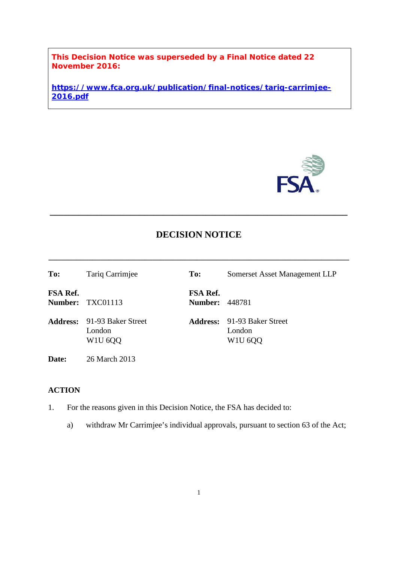**This Decision Notice was superseded by a Final Notice dated 22 November 2016:**

**https://www.fca.org.uk/publication/final-notices/tariq-carrimjee-2016.pdf**



# **DECISION NOTICE**

**\_\_\_\_\_\_\_\_\_\_\_\_\_\_\_\_\_\_\_\_\_\_\_\_\_\_\_\_\_\_\_\_\_\_\_\_\_\_\_\_\_\_\_\_\_\_\_\_\_\_\_\_\_\_\_\_\_\_\_\_\_\_\_\_\_\_\_\_\_\_\_\_\_\_\_**

**\_\_\_\_\_\_\_\_\_\_\_\_\_\_\_\_\_\_\_\_\_\_\_\_\_\_\_\_\_\_\_\_\_\_\_\_\_\_\_\_\_\_\_\_\_\_\_\_\_\_\_\_\_\_\_\_\_\_\_\_\_\_\_**

| To:      | Tariq Carrimjee                                                                              | To:                                      | Somerset Asset Management LLP                                                                |
|----------|----------------------------------------------------------------------------------------------|------------------------------------------|----------------------------------------------------------------------------------------------|
| FSA Ref. | Number: TXC01113                                                                             | <b>FSA Ref.</b><br><b>Number: 448781</b> |                                                                                              |
|          | <b>Address:</b> 91-93 Baker Street<br>London<br>W <sub>1</sub> U <sub>6</sub> Q <sub>Q</sub> |                                          | <b>Address:</b> 91-93 Baker Street<br>London<br>W <sub>1</sub> U <sub>6</sub> Q <sub>Q</sub> |
| Date:    | 26 March 2013                                                                                |                                          |                                                                                              |

## **ACTION**

- 1. For the reasons given in this Decision Notice, the FSA has decided to:
	- a) withdraw Mr Carrimjee's individual approvals, pursuant to section 63 of the Act;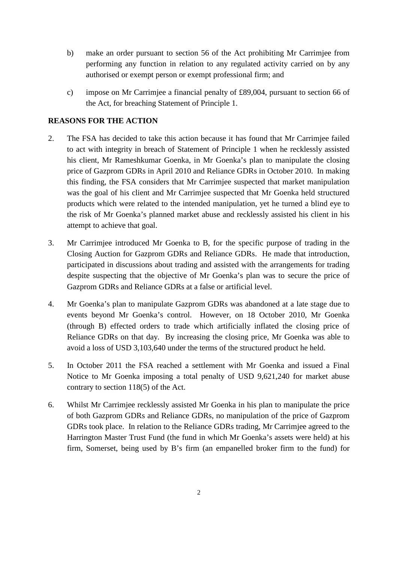- b) make an order pursuant to section 56 of the Act prohibiting Mr Carrimjee from performing any function in relation to any regulated activity carried on by any authorised or exempt person or exempt professional firm; and
- c) impose on Mr Carrimjee a financial penalty of £89,004, pursuant to section 66 of the Act, for breaching Statement of Principle 1.

## **REASONS FOR THE ACTION**

- 2. The FSA has decided to take this action because it has found that Mr Carrimjee failed to act with integrity in breach of Statement of Principle 1 when he recklessly assisted his client, Mr Rameshkumar Goenka, in Mr Goenka's plan to manipulate the closing price of Gazprom GDRs in April 2010 and Reliance GDRs in October 2010. In making this finding, the FSA considers that Mr Carrimjee suspected that market manipulation was the goal of his client and Mr Carrimjee suspected that Mr Goenka held structured products which were related to the intended manipulation, yet he turned a blind eye to the risk of Mr Goenka's planned market abuse and recklessly assisted his client in his attempt to achieve that goal.
- 3. Mr Carrimjee introduced Mr Goenka to B, for the specific purpose of trading in the Closing Auction for Gazprom GDRs and Reliance GDRs. He made that introduction, participated in discussions about trading and assisted with the arrangements for trading despite suspecting that the objective of Mr Goenka's plan was to secure the price of Gazprom GDRs and Reliance GDRs at a false or artificial level.
- 4. Mr Goenka's plan to manipulate Gazprom GDRs was abandoned at a late stage due to events beyond Mr Goenka's control. However, on 18 October 2010, Mr Goenka (through B) effected orders to trade which artificially inflated the closing price of Reliance GDRs on that day. By increasing the closing price, Mr Goenka was able to avoid a loss of USD 3,103,640 under the terms of the structured product he held.
- 5. In October 2011 the FSA reached a settlement with Mr Goenka and issued a Final Notice to Mr Goenka imposing a total penalty of USD 9,621,240 for market abuse contrary to section 118(5) of the Act.
- 6. Whilst Mr Carrimjee recklessly assisted Mr Goenka in his plan to manipulate the price of both Gazprom GDRs and Reliance GDRs, no manipulation of the price of Gazprom GDRs took place. In relation to the Reliance GDRs trading, Mr Carrimjee agreed to the Harrington Master Trust Fund (the fund in which Mr Goenka's assets were held) at his firm, Somerset, being used by B's firm (an empanelled broker firm to the fund) for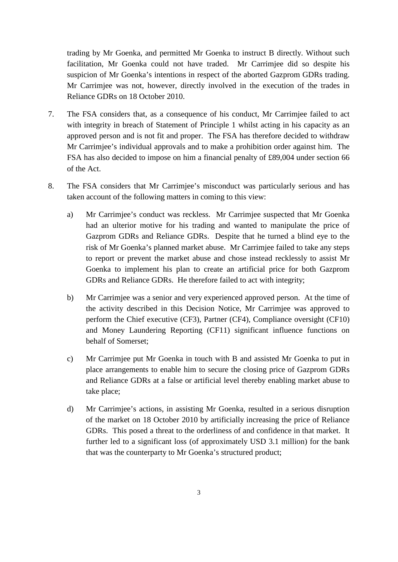trading by Mr Goenka, and permitted Mr Goenka to instruct B directly. Without such facilitation, Mr Goenka could not have traded. Mr Carrimjee did so despite his suspicion of Mr Goenka's intentions in respect of the aborted Gazprom GDRs trading. Mr Carrimjee was not, however, directly involved in the execution of the trades in Reliance GDRs on 18 October 2010.

- 7. The FSA considers that, as a consequence of his conduct, Mr Carrimjee failed to act with integrity in breach of Statement of Principle 1 whilst acting in his capacity as an approved person and is not fit and proper. The FSA has therefore decided to withdraw Mr Carrimjee's individual approvals and to make a prohibition order against him. The FSA has also decided to impose on him a financial penalty of £89,004 under section 66 of the Act.
- 8. The FSA considers that Mr Carrimjee's misconduct was particularly serious and has taken account of the following matters in coming to this view:
	- a) Mr Carrimjee's conduct was reckless. Mr Carrimjee suspected that Mr Goenka had an ulterior motive for his trading and wanted to manipulate the price of Gazprom GDRs and Reliance GDRs. Despite that he turned a blind eye to the risk of Mr Goenka's planned market abuse. Mr Carrimjee failed to take any steps to report or prevent the market abuse and chose instead recklessly to assist Mr Goenka to implement his plan to create an artificial price for both Gazprom GDRs and Reliance GDRs. He therefore failed to act with integrity;
	- b) Mr Carrimjee was a senior and very experienced approved person. At the time of the activity described in this Decision Notice, Mr Carrimjee was approved to perform the Chief executive (CF3), Partner (CF4), Compliance oversight (CF10) and Money Laundering Reporting (CF11) significant influence functions on behalf of Somerset;
	- c) Mr Carrimjee put Mr Goenka in touch with B and assisted Mr Goenka to put in place arrangements to enable him to secure the closing price of Gazprom GDRs and Reliance GDRs at a false or artificial level thereby enabling market abuse to take place;
	- d) Mr Carrimjee's actions, in assisting Mr Goenka, resulted in a serious disruption of the market on 18 October 2010 by artificially increasing the price of Reliance GDRs. This posed a threat to the orderliness of and confidence in that market. It further led to a significant loss (of approximately USD 3.1 million) for the bank that was the counterparty to Mr Goenka's structured product;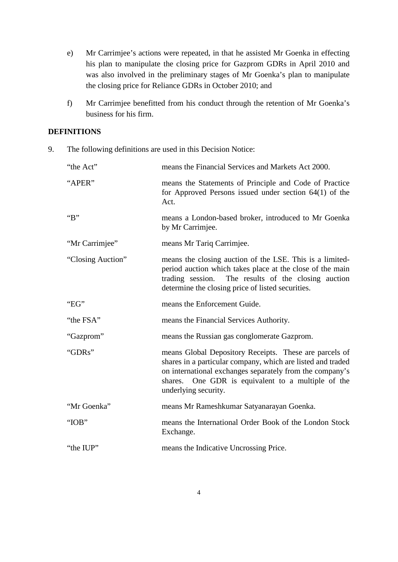- e) Mr Carrimjee's actions were repeated, in that he assisted Mr Goenka in effecting his plan to manipulate the closing price for Gazprom GDRs in April 2010 and was also involved in the preliminary stages of Mr Goenka's plan to manipulate the closing price for Reliance GDRs in October 2010; and
- f) Mr Carrimjee benefitted from his conduct through the retention of Mr Goenka's business for his firm.

## **DEFINITIONS**

9. The following definitions are used in this Decision Notice:

| "the Act"         | means the Financial Services and Markets Act 2000.                                                                                                                                                                                                                 |
|-------------------|--------------------------------------------------------------------------------------------------------------------------------------------------------------------------------------------------------------------------------------------------------------------|
| "APER"            | means the Statements of Principle and Code of Practice<br>for Approved Persons issued under section $64(1)$ of the<br>Act.                                                                                                                                         |
| B                 | means a London-based broker, introduced to Mr Goenka<br>by Mr Carrimjee.                                                                                                                                                                                           |
| "Mr Carrimjee"    | means Mr Tariq Carrimjee.                                                                                                                                                                                                                                          |
| "Closing Auction" | means the closing auction of the LSE. This is a limited-<br>period auction which takes place at the close of the main<br>trading session. The results of the closing auction<br>determine the closing price of listed securities.                                  |
| "EG"              | means the Enforcement Guide.                                                                                                                                                                                                                                       |
| "the FSA"         | means the Financial Services Authority.                                                                                                                                                                                                                            |
| "Gazprom"         | means the Russian gas conglomerate Gazprom.                                                                                                                                                                                                                        |
| "GDRs"            | means Global Depository Receipts. These are parcels of<br>shares in a particular company, which are listed and traded<br>on international exchanges separately from the company's<br>One GDR is equivalent to a multiple of the<br>shares.<br>underlying security. |
| "Mr Goenka"       | means Mr Rameshkumar Satyanarayan Goenka.                                                                                                                                                                                                                          |
| "IOB"             | means the International Order Book of the London Stock<br>Exchange.                                                                                                                                                                                                |
| "the IUP"         | means the Indicative Uncrossing Price.                                                                                                                                                                                                                             |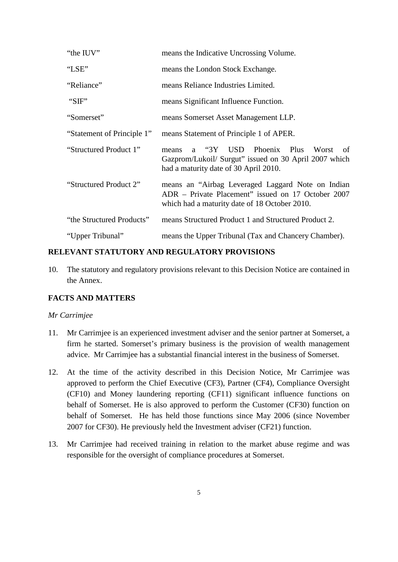| "the IUV"                  | means the Indicative Uncrossing Volume.                                                                                                                        |
|----------------------------|----------------------------------------------------------------------------------------------------------------------------------------------------------------|
| "LSE"                      | means the London Stock Exchange.                                                                                                                               |
| "Reliance"                 | means Reliance Industries Limited.                                                                                                                             |
| "SIF"                      | means Significant Influence Function.                                                                                                                          |
| "Somerset"                 | means Somerset Asset Management LLP.                                                                                                                           |
| "Statement of Principle 1" | means Statement of Principle 1 of APER.                                                                                                                        |
| "Structured Product 1"     | "3Y USD Phoenix Plus<br>Worst<br>of<br>means<br>$\mathbf{a}$<br>Gazprom/Lukoil/ Surgut" issued on 30 April 2007 which<br>had a maturity date of 30 April 2010. |
| "Structured Product 2"     | means an "Airbag Leveraged Laggard Note on Indian<br>ADR – Private Placement" issued on 17 October 2007<br>which had a maturity date of 18 October 2010.       |
| "the Structured Products"  | means Structured Product 1 and Structured Product 2.                                                                                                           |
| "Upper Tribunal"           | means the Upper Tribunal (Tax and Chancery Chamber).                                                                                                           |

#### **RELEVANT STATUTORY AND REGULATORY PROVISIONS**

10. The statutory and regulatory provisions relevant to this Decision Notice are contained in the Annex.

## **FACTS AND MATTERS**

#### *Mr Carrimjee*

- 11. Mr Carrimjee is an experienced investment adviser and the senior partner at Somerset, a firm he started. Somerset's primary business is the provision of wealth management advice. Mr Carrimjee has a substantial financial interest in the business of Somerset.
- 12. At the time of the activity described in this Decision Notice, Mr Carrimjee was approved to perform the Chief Executive (CF3), Partner (CF4), Compliance Oversight (CF10) and Money laundering reporting (CF11) significant influence functions on behalf of Somerset. He is also approved to perform the Customer (CF30) function on behalf of Somerset. He has held those functions since May 2006 (since November 2007 for CF30). He previously held the Investment adviser (CF21) function.
- 13. Mr Carrimjee had received training in relation to the market abuse regime and was responsible for the oversight of compliance procedures at Somerset.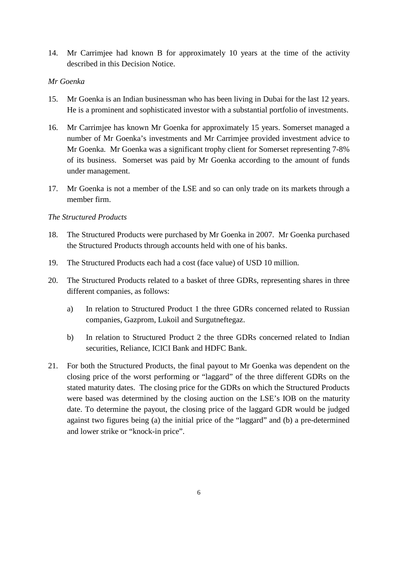14. Mr Carrimjee had known B for approximately 10 years at the time of the activity described in this Decision Notice.

## *Mr Goenka*

- 15. Mr Goenka is an Indian businessman who has been living in Dubai for the last 12 years. He is a prominent and sophisticated investor with a substantial portfolio of investments.
- 16. Mr Carrimjee has known Mr Goenka for approximately 15 years. Somerset managed a number of Mr Goenka's investments and Mr Carrimjee provided investment advice to Mr Goenka. Mr Goenka was a significant trophy client for Somerset representing 7-8% of its business. Somerset was paid by Mr Goenka according to the amount of funds under management.
- 17. Mr Goenka is not a member of the LSE and so can only trade on its markets through a member firm.

#### *The Structured Products*

- 18. The Structured Products were purchased by Mr Goenka in 2007. Mr Goenka purchased the Structured Products through accounts held with one of his banks.
- 19. The Structured Products each had a cost (face value) of USD 10 million.
- 20. The Structured Products related to a basket of three GDRs, representing shares in three different companies, as follows:
	- a) In relation to Structured Product 1 the three GDRs concerned related to Russian companies, Gazprom, Lukoil and Surgutneftegaz.
	- b) In relation to Structured Product 2 the three GDRs concerned related to Indian securities, Reliance, ICICI Bank and HDFC Bank.
- 21. For both the Structured Products, the final payout to Mr Goenka was dependent on the closing price of the worst performing or "laggard" of the three different GDRs on the stated maturity dates. The closing price for the GDRs on which the Structured Products were based was determined by the closing auction on the LSE's IOB on the maturity date. To determine the payout, the closing price of the laggard GDR would be judged against two figures being (a) the initial price of the "laggard" and (b) a pre-determined and lower strike or "knock-in price".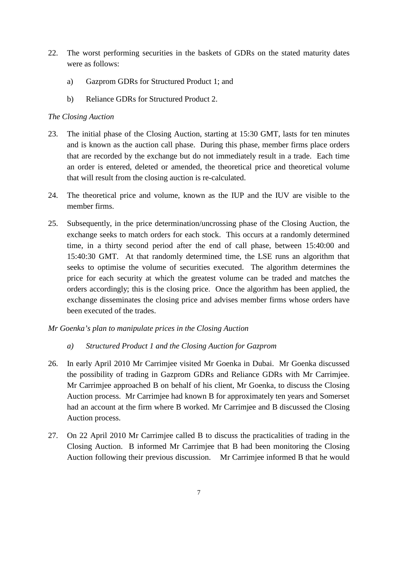- 22. The worst performing securities in the baskets of GDRs on the stated maturity dates were as follows:
	- a) Gazprom GDRs for Structured Product 1; and
	- b) Reliance GDRs for Structured Product 2.

## *The Closing Auction*

- 23. The initial phase of the Closing Auction, starting at 15:30 GMT, lasts for ten minutes and is known as the auction call phase. During this phase, member firms place orders that are recorded by the exchange but do not immediately result in a trade. Each time an order is entered, deleted or amended, the theoretical price and theoretical volume that will result from the closing auction is re-calculated.
- 24. The theoretical price and volume, known as the IUP and the IUV are visible to the member firms.
- 25. Subsequently, in the price determination/uncrossing phase of the Closing Auction, the exchange seeks to match orders for each stock. This occurs at a randomly determined time, in a thirty second period after the end of call phase, between 15:40:00 and 15:40:30 GMT. At that randomly determined time, the LSE runs an algorithm that seeks to optimise the volume of securities executed. The algorithm determines the price for each security at which the greatest volume can be traded and matches the orders accordingly; this is the closing price. Once the algorithm has been applied, the exchange disseminates the closing price and advises member firms whose orders have been executed of the trades.

## *Mr Goenka's plan to manipulate prices in the Closing Auction*

- *a) Structured Product 1 and the Closing Auction for Gazprom*
- 26. In early April 2010 Mr Carrimjee visited Mr Goenka in Dubai. Mr Goenka discussed the possibility of trading in Gazprom GDRs and Reliance GDRs with Mr Carrimjee. Mr Carrimjee approached B on behalf of his client, Mr Goenka, to discuss the Closing Auction process. Mr Carrimjee had known B for approximately ten years and Somerset had an account at the firm where B worked. Mr Carrimjee and B discussed the Closing Auction process.
- 27. On 22 April 2010 Mr Carrimjee called B to discuss the practicalities of trading in the Closing Auction. B informed Mr Carrimjee that B had been monitoring the Closing Auction following their previous discussion. Mr Carrimjee informed B that he would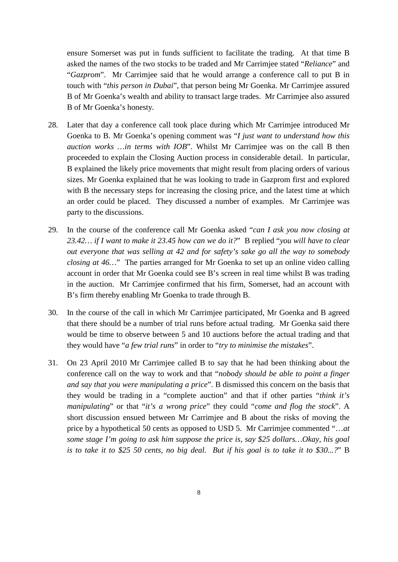ensure Somerset was put in funds sufficient to facilitate the trading. At that time B asked the names of the two stocks to be traded and Mr Carrimjee stated "*Reliance*" and "*Gazprom*". Mr Carrimjee said that he would arrange a conference call to put B in touch with "*this person in Dubai*", that person being Mr Goenka. Mr Carrimjee assured B of Mr Goenka's wealth and ability to transact large trades. Mr Carrimjee also assured B of Mr Goenka's honesty.

- 28. Later that day a conference call took place during which Mr Carrimjee introduced Mr Goenka to B. Mr Goenka's opening comment was "*I just want to understand how this auction works …in terms with IOB*". Whilst Mr Carrimjee was on the call B then proceeded to explain the Closing Auction process in considerable detail. In particular, B explained the likely price movements that might result from placing orders of various sizes. Mr Goenka explained that he was looking to trade in Gazprom first and explored with B the necessary steps for increasing the closing price, and the latest time at which an order could be placed. They discussed a number of examples. Mr Carrimjee was party to the discussions.
- 29. In the course of the conference call Mr Goenka asked "*can I ask you now closing at 23.42… if I want to make it 23.45 how can we do it?*" B replied "*you will have to clear out everyone that was selling at 42 and for safety's sake go all the way to somebody closing at 46...*" The parties arranged for Mr Goenka to set up an online video calling account in order that Mr Goenka could see B's screen in real time whilst B was trading in the auction. Mr Carrimjee confirmed that his firm, Somerset, had an account with B's firm thereby enabling Mr Goenka to trade through B.
- 30. In the course of the call in which Mr Carrimjee participated, Mr Goenka and B agreed that there should be a number of trial runs before actual trading. Mr Goenka said there would be time to observe between 5 and 10 auctions before the actual trading and that they would have "*a few trial runs*" in order to "*try to minimise the mistakes*".
- 31. On 23 April 2010 Mr Carrimjee called B to say that he had been thinking about the conference call on the way to work and that "*nobody should be able to point a finger and say that you were manipulating a price*". B dismissed this concern on the basis that they would be trading in a "complete auction" and that if other parties "*think it's manipulating*" or that "*it's a wrong price*" they could "*come and flog the stock*". A short discussion ensued between Mr Carrimjee and B about the risks of moving the price by a hypothetical 50 cents as opposed to USD 5. Mr Carrimjee commented "…*at some stage I'm going to ask him suppose the price is, say \$25 dollars…Okay, his goal is to take it to \$25 50 cents, no big deal. But if his goal is to take it to \$30...?*" B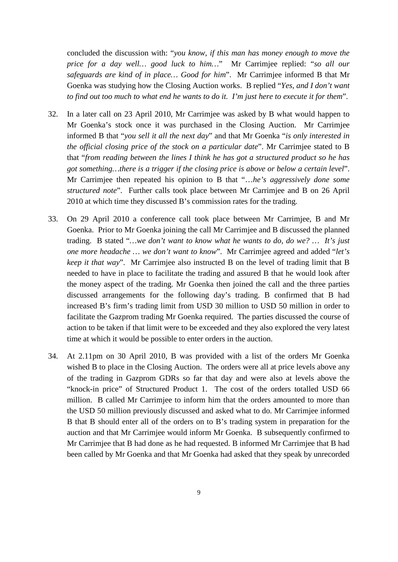concluded the discussion with: "*you know, if this man has money enough to move the price for a day well… good luck to him…*" Mr Carrimjee replied: "*so all our safeguards are kind of in place… Good for him*". Mr Carrimjee informed B that Mr Goenka was studying how the Closing Auction works. B replied "*Yes, and I don't want to find out too much to what end he wants to do it. I'm just here to execute it for them*".

- 32. In a later call on 23 April 2010, Mr Carrimjee was asked by B what would happen to Mr Goenka's stock once it was purchased in the Closing Auction. Mr Carrimjee informed B that "*you sell it all the next day*" and that Mr Goenka "*is only interested in the official closing price of the stock on a particular date*". Mr Carrimjee stated to B that "*from reading between the lines I think he has got a structured product so he has got something…there is a trigger if the closing price is above or below a certain level*". Mr Carrimjee then repeated his opinion to B that "…*he's aggressively done some structured note*". Further calls took place between Mr Carrimjee and B on 26 April 2010 at which time they discussed B's commission rates for the trading.
- 33. On 29 April 2010 a conference call took place between Mr Carrimjee, B and Mr Goenka. Prior to Mr Goenka joining the call Mr Carrimjee and B discussed the planned trading. B stated "*…we don't want to know what he wants to do, do we? … It's just one more headache … we don't want to know*". Mr Carrimjee agreed and added "*let's keep it that way*". Mr Carrimjee also instructed B on the level of trading limit that B needed to have in place to facilitate the trading and assured B that he would look after the money aspect of the trading. Mr Goenka then joined the call and the three parties discussed arrangements for the following day's trading. B confirmed that B had increased B's firm's trading limit from USD 30 million to USD 50 million in order to facilitate the Gazprom trading Mr Goenka required. The parties discussed the course of action to be taken if that limit were to be exceeded and they also explored the very latest time at which it would be possible to enter orders in the auction.
- 34. At 2.11pm on 30 April 2010, B was provided with a list of the orders Mr Goenka wished B to place in the Closing Auction. The orders were all at price levels above any of the trading in Gazprom GDRs so far that day and were also at levels above the "knock-in price" of Structured Product 1. The cost of the orders totalled USD 66 million. B called Mr Carrimjee to inform him that the orders amounted to more than the USD 50 million previously discussed and asked what to do. Mr Carrimjee informed B that B should enter all of the orders on to B's trading system in preparation for the auction and that Mr Carrimjee would inform Mr Goenka. B subsequently confirmed to Mr Carrimjee that B had done as he had requested. B informed Mr Carrimjee that B had been called by Mr Goenka and that Mr Goenka had asked that they speak by unrecorded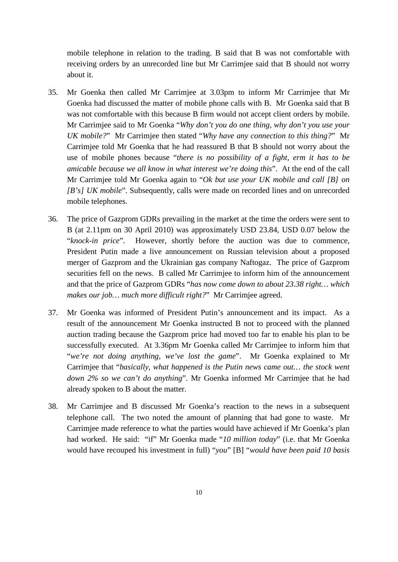mobile telephone in relation to the trading. B said that B was not comfortable with receiving orders by an unrecorded line but Mr Carrimjee said that B should not worry about it.

- 35. Mr Goenka then called Mr Carrimjee at 3.03pm to inform Mr Carrimjee that Mr Goenka had discussed the matter of mobile phone calls with B. Mr Goenka said that B was not comfortable with this because B firm would not accept client orders by mobile. Mr Carrimjee said to Mr Goenka "*Why don't you do one thing, why don't you use your UK mobile?*" Mr Carrimjee then stated "*Why have any connection to this thing?*" Mr Carrimjee told Mr Goenka that he had reassured B that B should not worry about the use of mobile phones because "*there is no possibility of a fight, erm it has to be amicable because we all know in what interest we're doing this*". At the end of the call Mr Carrimjee told Mr Goenka again to "*Ok but use your UK mobile and call [B] on [B's] UK mobile*". Subsequently, calls were made on recorded lines and on unrecorded mobile telephones.
- 36. The price of Gazprom GDRs prevailing in the market at the time the orders were sent to B (at 2.11pm on 30 April 2010) was approximately USD 23.84, USD 0.07 below the "*knock-in price*". However, shortly before the auction was due to commence, President Putin made a live announcement on Russian television about a proposed merger of Gazprom and the Ukrainian gas company Naftogaz. The price of Gazprom securities fell on the news. B called Mr Carrimjee to inform him of the announcement and that the price of Gazprom GDRs "*has now come down to about 23.38 right… which makes our job… much more difficult right?*" Mr Carrimjee agreed.
- 37. Mr Goenka was informed of President Putin's announcement and its impact. As a result of the announcement Mr Goenka instructed B not to proceed with the planned auction trading because the Gazprom price had moved too far to enable his plan to be successfully executed. At 3.36pm Mr Goenka called Mr Carrimjee to inform him that "*we're not doing anything, we've lost the game*". Mr Goenka explained to Mr Carrimjee that "*basically, what happened is the Putin news came out… the stock went down 2% so we can't do anything*". Mr Goenka informed Mr Carrimjee that he had already spoken to B about the matter.
- 38. Mr Carrimjee and B discussed Mr Goenka's reaction to the news in a subsequent telephone call. The two noted the amount of planning that had gone to waste. Mr Carrimjee made reference to what the parties would have achieved if Mr Goenka's plan had worked. He said: "if" Mr Goenka made "*10 million today*" (i.e. that Mr Goenka would have recouped his investment in full) "*you*" [B] "*would have been paid 10 basis*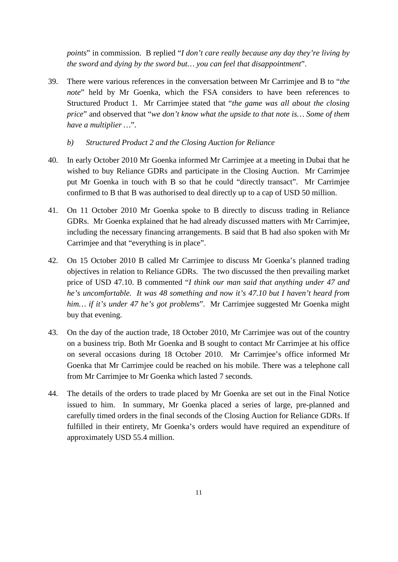*points*" in commission. B replied "*I don't care really because any day they're living by the sword and dying by the sword but… you can feel that disappointment*".

- 39. There were various references in the conversation between Mr Carrimjee and B to "*the note*" held by Mr Goenka, which the FSA considers to have been references to Structured Product 1. Mr Carrimjee stated that "*the game was all about the closing price*" and observed that "*we don't know what the upside to that note is… Some of them have a multiplier …*".
	- *b) Structured Product 2 and the Closing Auction for Reliance*
- 40. In early October 2010 Mr Goenka informed Mr Carrimjee at a meeting in Dubai that he wished to buy Reliance GDRs and participate in the Closing Auction. Mr Carrimjee put Mr Goenka in touch with B so that he could "directly transact". Mr Carrimjee confirmed to B that B was authorised to deal directly up to a cap of USD 50 million.
- 41. On 11 October 2010 Mr Goenka spoke to B directly to discuss trading in Reliance GDRs. Mr Goenka explained that he had already discussed matters with Mr Carrimjee, including the necessary financing arrangements. B said that B had also spoken with Mr Carrimjee and that "everything is in place".
- 42. On 15 October 2010 B called Mr Carrimjee to discuss Mr Goenka's planned trading objectives in relation to Reliance GDRs. The two discussed the then prevailing market price of USD 47.10. B commented "*I think our man said that anything under 47 and he's uncomfortable. It was 48 something and now it's 47.10 but I haven't heard from him… if it's under 47 he's got problems*". Mr Carrimjee suggested Mr Goenka might buy that evening.
- 43. On the day of the auction trade, 18 October 2010, Mr Carrimjee was out of the country on a business trip. Both Mr Goenka and B sought to contact Mr Carrimjee at his office on several occasions during 18 October 2010. Mr Carrimjee's office informed Mr Goenka that Mr Carrimjee could be reached on his mobile. There was a telephone call from Mr Carrimjee to Mr Goenka which lasted 7 seconds.
- 44. The details of the orders to trade placed by Mr Goenka are set out in the Final Notice issued to him. In summary, Mr Goenka placed a series of large, pre-planned and carefully timed orders in the final seconds of the Closing Auction for Reliance GDRs. If fulfilled in their entirety, Mr Goenka's orders would have required an expenditure of approximately USD 55.4 million.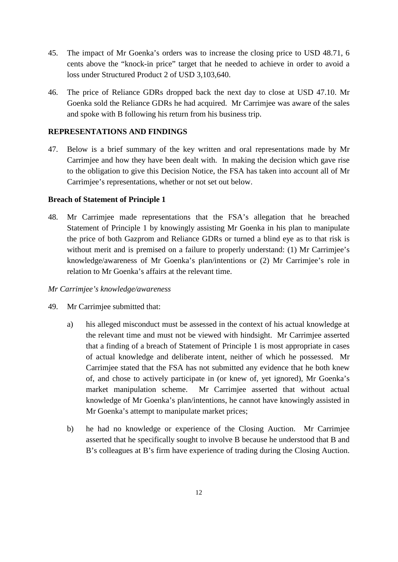- 45. The impact of Mr Goenka's orders was to increase the closing price to USD 48.71, 6 cents above the "knock-in price" target that he needed to achieve in order to avoid a loss under Structured Product 2 of USD 3,103,640.
- 46. The price of Reliance GDRs dropped back the next day to close at USD 47.10. Mr Goenka sold the Reliance GDRs he had acquired. Mr Carrimjee was aware of the sales and spoke with B following his return from his business trip.

## **REPRESENTATIONS AND FINDINGS**

47. Below is a brief summary of the key written and oral representations made by Mr Carrimjee and how they have been dealt with. In making the decision which gave rise to the obligation to give this Decision Notice, the FSA has taken into account all of Mr Carrimjee's representations, whether or not set out below.

## **Breach of Statement of Principle 1**

48. Mr Carrimjee made representations that the FSA's allegation that he breached Statement of Principle 1 by knowingly assisting Mr Goenka in his plan to manipulate the price of both Gazprom and Reliance GDRs or turned a blind eye as to that risk is without merit and is premised on a failure to properly understand: (1) Mr Carrimjee's knowledge/awareness of Mr Goenka's plan/intentions or (2) Mr Carrimjee's role in relation to Mr Goenka's affairs at the relevant time.

## *Mr Carrimjee's knowledge/awareness*

- 49. Mr Carrimjee submitted that:
	- a) his alleged misconduct must be assessed in the context of his actual knowledge at the relevant time and must not be viewed with hindsight. Mr Carrimjee asserted that a finding of a breach of Statement of Principle 1 is most appropriate in cases of actual knowledge and deliberate intent, neither of which he possessed. Mr Carrimjee stated that the FSA has not submitted any evidence that he both knew of, and chose to actively participate in (or knew of, yet ignored), Mr Goenka's market manipulation scheme. Mr Carrimjee asserted that without actual knowledge of Mr Goenka's plan/intentions, he cannot have knowingly assisted in Mr Goenka's attempt to manipulate market prices;
	- b) he had no knowledge or experience of the Closing Auction. Mr Carrimjee asserted that he specifically sought to involve B because he understood that B and B's colleagues at B's firm have experience of trading during the Closing Auction.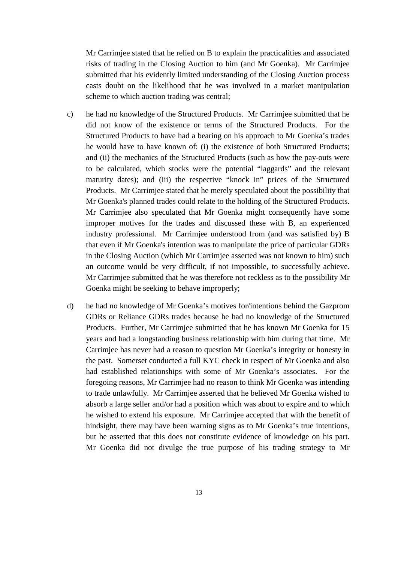Mr Carrimjee stated that he relied on B to explain the practicalities and associated risks of trading in the Closing Auction to him (and Mr Goenka). Mr Carrimjee submitted that his evidently limited understanding of the Closing Auction process casts doubt on the likelihood that he was involved in a market manipulation scheme to which auction trading was central;

- c) he had no knowledge of the Structured Products. Mr Carrimjee submitted that he did not know of the existence or terms of the Structured Products. For the Structured Products to have had a bearing on his approach to Mr Goenka's trades he would have to have known of: (i) the existence of both Structured Products; and (ii) the mechanics of the Structured Products (such as how the pay-outs were to be calculated, which stocks were the potential "laggards" and the relevant maturity dates); and (iii) the respective "knock in" prices of the Structured Products. Mr Carrimjee stated that he merely speculated about the possibility that Mr Goenka's planned trades could relate to the holding of the Structured Products. Mr Carrimjee also speculated that Mr Goenka might consequently have some improper motives for the trades and discussed these with B, an experienced industry professional. Mr Carrimjee understood from (and was satisfied by) B that even if Mr Goenka's intention was to manipulate the price of particular GDRs in the Closing Auction (which Mr Carrimjee asserted was not known to him) such an outcome would be very difficult, if not impossible, to successfully achieve. Mr Carrimjee submitted that he was therefore not reckless as to the possibility Mr Goenka might be seeking to behave improperly;
- d) he had no knowledge of Mr Goenka's motives for/intentions behind the Gazprom GDRs or Reliance GDRs trades because he had no knowledge of the Structured Products. Further, Mr Carrimjee submitted that he has known Mr Goenka for 15 years and had a longstanding business relationship with him during that time. Mr Carrimjee has never had a reason to question Mr Goenka's integrity or honesty in the past. Somerset conducted a full KYC check in respect of Mr Goenka and also had established relationships with some of Mr Goenka's associates. For the foregoing reasons, Mr Carrimjee had no reason to think Mr Goenka was intending to trade unlawfully. Mr Carrimjee asserted that he believed Mr Goenka wished to absorb a large seller and/or had a position which was about to expire and to which he wished to extend his exposure. Mr Carrimjee accepted that with the benefit of hindsight, there may have been warning signs as to Mr Goenka's true intentions, but he asserted that this does not constitute evidence of knowledge on his part. Mr Goenka did not divulge the true purpose of his trading strategy to Mr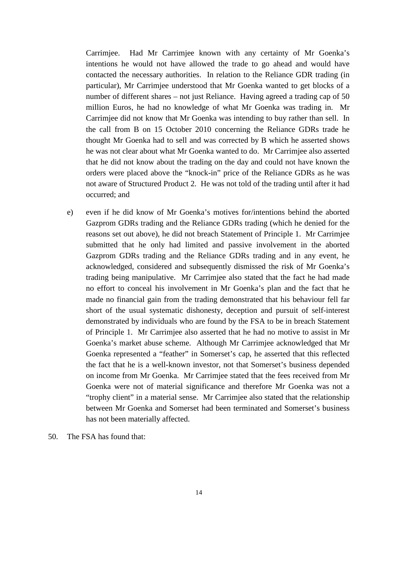Carrimjee. Had Mr Carrimjee known with any certainty of Mr Goenka's intentions he would not have allowed the trade to go ahead and would have contacted the necessary authorities. In relation to the Reliance GDR trading (in particular), Mr Carrimjee understood that Mr Goenka wanted to get blocks of a number of different shares – not just Reliance. Having agreed a trading cap of 50 million Euros, he had no knowledge of what Mr Goenka was trading in. Mr Carrimjee did not know that Mr Goenka was intending to buy rather than sell. In the call from B on 15 October 2010 concerning the Reliance GDRs trade he thought Mr Goenka had to sell and was corrected by B which he asserted shows he was not clear about what Mr Goenka wanted to do. Mr Carrimjee also asserted that he did not know about the trading on the day and could not have known the orders were placed above the "knock-in" price of the Reliance GDRs as he was not aware of Structured Product 2. He was not told of the trading until after it had occurred; and

- e) even if he did know of Mr Goenka's motives for/intentions behind the aborted Gazprom GDRs trading and the Reliance GDRs trading (which he denied for the reasons set out above), he did not breach Statement of Principle 1. Mr Carrimjee submitted that he only had limited and passive involvement in the aborted Gazprom GDRs trading and the Reliance GDRs trading and in any event, he acknowledged, considered and subsequently dismissed the risk of Mr Goenka's trading being manipulative. Mr Carrimjee also stated that the fact he had made no effort to conceal his involvement in Mr Goenka's plan and the fact that he made no financial gain from the trading demonstrated that his behaviour fell far short of the usual systematic dishonesty, deception and pursuit of self-interest demonstrated by individuals who are found by the FSA to be in breach Statement of Principle 1. Mr Carrimjee also asserted that he had no motive to assist in Mr Goenka's market abuse scheme. Although Mr Carrimjee acknowledged that Mr Goenka represented a "feather" in Somerset's cap, he asserted that this reflected the fact that he is a well-known investor, not that Somerset's business depended on income from Mr Goenka. Mr Carrimjee stated that the fees received from Mr Goenka were not of material significance and therefore Mr Goenka was not a "trophy client" in a material sense. Mr Carrimjee also stated that the relationship between Mr Goenka and Somerset had been terminated and Somerset's business has not been materially affected.
- 50. The FSA has found that: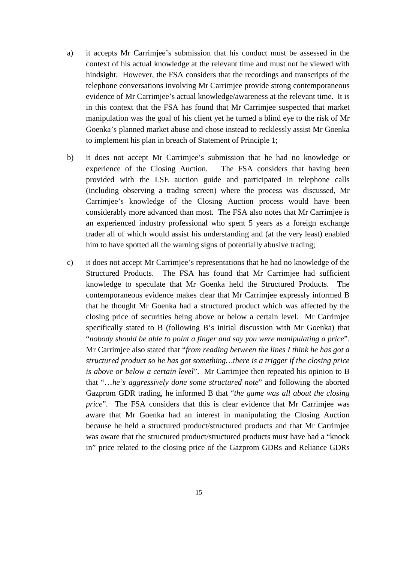- a) it accepts Mr Carrimjee's submission that his conduct must be assessed in the context of his actual knowledge at the relevant time and must not be viewed with hindsight. However, the FSA considers that the recordings and transcripts of the telephone conversations involving Mr Carrimjee provide strong contemporaneous evidence of Mr Carrimjee's actual knowledge/awareness at the relevant time. It is in this context that the FSA has found that Mr Carrimjee suspected that market manipulation was the goal of his client yet he turned a blind eye to the risk of Mr Goenka's planned market abuse and chose instead to recklessly assist Mr Goenka to implement his plan in breach of Statement of Principle 1;
- b) it does not accept Mr Carrimjee's submission that he had no knowledge or experience of the Closing Auction. The FSA considers that having been provided with the LSE auction guide and participated in telephone calls (including observing a trading screen) where the process was discussed, Mr Carrimjee's knowledge of the Closing Auction process would have been considerably more advanced than most. The FSA also notes that Mr Carrimjee is an experienced industry professional who spent 5 years as a foreign exchange trader all of which would assist his understanding and (at the very least) enabled him to have spotted all the warning signs of potentially abusive trading;
- c) it does not accept Mr Carrimjee's representations that he had no knowledge of the Structured Products. The FSA has found that Mr Carrimjee had sufficient knowledge to speculate that Mr Goenka held the Structured Products. The contemporaneous evidence makes clear that Mr Carrimjee expressly informed B that he thought Mr Goenka had a structured product which was affected by the closing price of securities being above or below a certain level. Mr Carrimjee specifically stated to B (following B's initial discussion with Mr Goenka) that "*nobody should be able to point a finger and say you were manipulating a price*". Mr Carrimjee also stated that "*from reading between the lines I think he has got a structured product so he has got something…there is a trigger if the closing price is above or below a certain level*". Mr Carrimjee then repeated his opinion to B that "…*he's aggressively done some structured note*" and following the aborted Gazprom GDR trading, he informed B that "*the game was all about the closing price*". The FSA considers that this is clear evidence that Mr Carrimjee was aware that Mr Goenka had an interest in manipulating the Closing Auction because he held a structured product/structured products and that Mr Carrimjee was aware that the structured product/structured products must have had a "knock in" price related to the closing price of the Gazprom GDRs and Reliance GDRs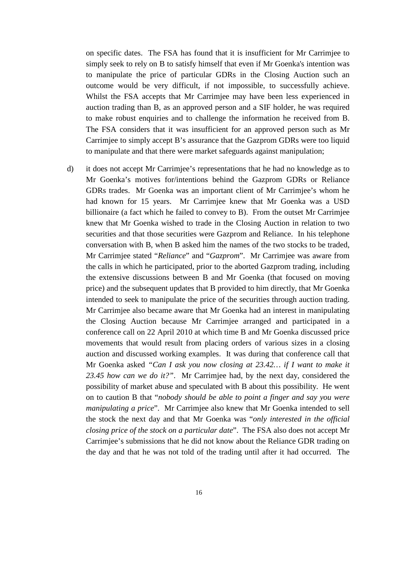on specific dates. The FSA has found that it is insufficient for Mr Carrimjee to simply seek to rely on B to satisfy himself that even if Mr Goenka's intention was to manipulate the price of particular GDRs in the Closing Auction such an outcome would be very difficult, if not impossible, to successfully achieve. Whilst the FSA accepts that Mr Carrimjee may have been less experienced in auction trading than B, as an approved person and a SIF holder, he was required to make robust enquiries and to challenge the information he received from B. The FSA considers that it was insufficient for an approved person such as Mr Carrimjee to simply accept B's assurance that the Gazprom GDRs were too liquid to manipulate and that there were market safeguards against manipulation;

d) it does not accept Mr Carrimjee's representations that he had no knowledge as to Mr Goenka's motives for/intentions behind the Gazprom GDRs or Reliance GDRs trades. Mr Goenka was an important client of Mr Carrimjee's whom he had known for 15 years. Mr Carrimjee knew that Mr Goenka was a USD billionaire (a fact which he failed to convey to B). From the outset Mr Carrimjee knew that Mr Goenka wished to trade in the Closing Auction in relation to two securities and that those securities were Gazprom and Reliance. In his telephone conversation with B, when B asked him the names of the two stocks to be traded, Mr Carrimjee stated "*Reliance*" and "*Gazprom*". Mr Carrimjee was aware from the calls in which he participated, prior to the aborted Gazprom trading, including the extensive discussions between B and Mr Goenka (that focused on moving price) and the subsequent updates that B provided to him directly, that Mr Goenka intended to seek to manipulate the price of the securities through auction trading. Mr Carrimjee also became aware that Mr Goenka had an interest in manipulating the Closing Auction because Mr Carrimjee arranged and participated in a conference call on 22 April 2010 at which time B and Mr Goenka discussed price movements that would result from placing orders of various sizes in a closing auction and discussed working examples. It was during that conference call that Mr Goenka asked *"Can I ask you now closing at 23.42… if I want to make it 23.45 how can we do it?"*. Mr Carrimjee had, by the next day, considered the possibility of market abuse and speculated with B about this possibility. He went on to caution B that "*nobody should be able to point a finger and say you were manipulating a price*". Mr Carrimjee also knew that Mr Goenka intended to sell the stock the next day and that Mr Goenka was "*only interested in the official closing price of the stock on a particular date*". The FSA also does not accept Mr Carrimjee's submissions that he did not know about the Reliance GDR trading on the day and that he was not told of the trading until after it had occurred. The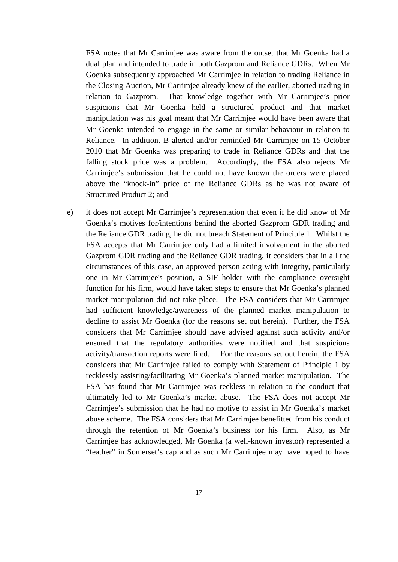FSA notes that Mr Carrimjee was aware from the outset that Mr Goenka had a dual plan and intended to trade in both Gazprom and Reliance GDRs. When Mr Goenka subsequently approached Mr Carrimjee in relation to trading Reliance in the Closing Auction, Mr Carrimjee already knew of the earlier, aborted trading in relation to Gazprom. That knowledge together with Mr Carrimjee's prior suspicions that Mr Goenka held a structured product and that market manipulation was his goal meant that Mr Carrimjee would have been aware that Mr Goenka intended to engage in the same or similar behaviour in relation to Reliance. In addition, B alerted and/or reminded Mr Carrimjee on 15 October 2010 that Mr Goenka was preparing to trade in Reliance GDRs and that the falling stock price was a problem. Accordingly, the FSA also rejects Mr Carrimjee's submission that he could not have known the orders were placed above the "knock-in" price of the Reliance GDRs as he was not aware of Structured Product 2; and

e) it does not accept Mr Carrimjee's representation that even if he did know of Mr Goenka's motives for/intentions behind the aborted Gazprom GDR trading and the Reliance GDR trading, he did not breach Statement of Principle 1. Whilst the FSA accepts that Mr Carrimjee only had a limited involvement in the aborted Gazprom GDR trading and the Reliance GDR trading, it considers that in all the circumstances of this case, an approved person acting with integrity, particularly one in Mr Carrimjee's position, a SIF holder with the compliance oversight function for his firm, would have taken steps to ensure that Mr Goenka's planned market manipulation did not take place. The FSA considers that Mr Carrimjee had sufficient knowledge/awareness of the planned market manipulation to decline to assist Mr Goenka (for the reasons set out herein). Further, the FSA considers that Mr Carrimjee should have advised against such activity and/or ensured that the regulatory authorities were notified and that suspicious activity/transaction reports were filed. For the reasons set out herein, the FSA considers that Mr Carrimjee failed to comply with Statement of Principle 1 by recklessly assisting/facilitating Mr Goenka's planned market manipulation. The FSA has found that Mr Carrimjee was reckless in relation to the conduct that ultimately led to Mr Goenka's market abuse. The FSA does not accept Mr Carrimjee's submission that he had no motive to assist in Mr Goenka's market abuse scheme. The FSA considers that Mr Carrimjee benefitted from his conduct through the retention of Mr Goenka's business for his firm. Also, as Mr Carrimjee has acknowledged, Mr Goenka (a well-known investor) represented a "feather" in Somerset's cap and as such Mr Carrimjee may have hoped to have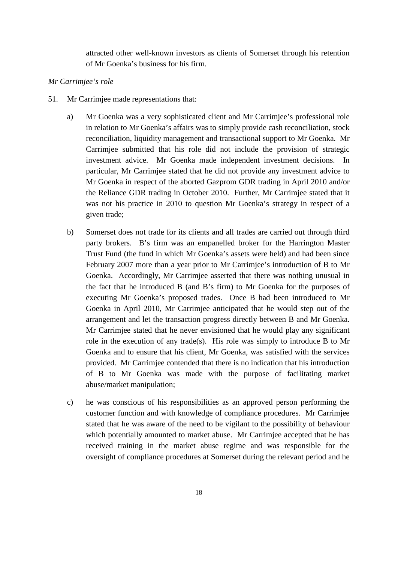attracted other well-known investors as clients of Somerset through his retention of Mr Goenka's business for his firm.

#### *Mr Carrimjee's role*

- 51. Mr Carrimjee made representations that:
	- a) Mr Goenka was a very sophisticated client and Mr Carrimjee's professional role in relation to Mr Goenka's affairs was to simply provide cash reconciliation, stock reconciliation, liquidity management and transactional support to Mr Goenka. Mr Carrimjee submitted that his role did not include the provision of strategic investment advice. Mr Goenka made independent investment decisions. In particular, Mr Carrimjee stated that he did not provide any investment advice to Mr Goenka in respect of the aborted Gazprom GDR trading in April 2010 and/or the Reliance GDR trading in October 2010. Further, Mr Carrimjee stated that it was not his practice in 2010 to question Mr Goenka's strategy in respect of a given trade;
	- b) Somerset does not trade for its clients and all trades are carried out through third party brokers. B's firm was an empanelled broker for the Harrington Master Trust Fund (the fund in which Mr Goenka's assets were held) and had been since February 2007 more than a year prior to Mr Carrimjee's introduction of B to Mr Goenka. Accordingly, Mr Carrimjee asserted that there was nothing unusual in the fact that he introduced B (and B's firm) to Mr Goenka for the purposes of executing Mr Goenka's proposed trades. Once B had been introduced to Mr Goenka in April 2010, Mr Carrimjee anticipated that he would step out of the arrangement and let the transaction progress directly between B and Mr Goenka. Mr Carrimjee stated that he never envisioned that he would play any significant role in the execution of any trade(s). His role was simply to introduce B to Mr Goenka and to ensure that his client, Mr Goenka, was satisfied with the services provided. Mr Carrimjee contended that there is no indication that his introduction of B to Mr Goenka was made with the purpose of facilitating market abuse/market manipulation;
	- c) he was conscious of his responsibilities as an approved person performing the customer function and with knowledge of compliance procedures. Mr Carrimjee stated that he was aware of the need to be vigilant to the possibility of behaviour which potentially amounted to market abuse. Mr Carrimjee accepted that he has received training in the market abuse regime and was responsible for the oversight of compliance procedures at Somerset during the relevant period and he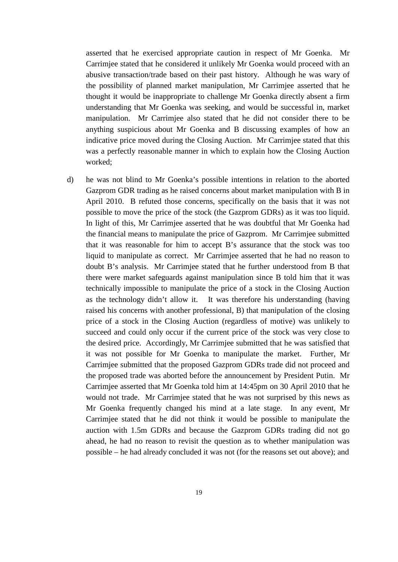asserted that he exercised appropriate caution in respect of Mr Goenka. Mr Carrimjee stated that he considered it unlikely Mr Goenka would proceed with an abusive transaction/trade based on their past history. Although he was wary of the possibility of planned market manipulation, Mr Carrimjee asserted that he thought it would be inappropriate to challenge Mr Goenka directly absent a firm understanding that Mr Goenka was seeking, and would be successful in, market manipulation. Mr Carrimjee also stated that he did not consider there to be anything suspicious about Mr Goenka and B discussing examples of how an indicative price moved during the Closing Auction. Mr Carrimjee stated that this was a perfectly reasonable manner in which to explain how the Closing Auction worked;

d) he was not blind to Mr Goenka's possible intentions in relation to the aborted Gazprom GDR trading as he raised concerns about market manipulation with B in April 2010. B refuted those concerns, specifically on the basis that it was not possible to move the price of the stock (the Gazprom GDRs) as it was too liquid. In light of this, Mr Carrimjee asserted that he was doubtful that Mr Goenka had the financial means to manipulate the price of Gazprom. Mr Carrimjee submitted that it was reasonable for him to accept B's assurance that the stock was too liquid to manipulate as correct. Mr Carrimjee asserted that he had no reason to doubt B's analysis. Mr Carrimjee stated that he further understood from B that there were market safeguards against manipulation since B told him that it was technically impossible to manipulate the price of a stock in the Closing Auction as the technology didn't allow it. It was therefore his understanding (having raised his concerns with another professional, B) that manipulation of the closing price of a stock in the Closing Auction (regardless of motive) was unlikely to succeed and could only occur if the current price of the stock was very close to the desired price. Accordingly, Mr Carrimjee submitted that he was satisfied that it was not possible for Mr Goenka to manipulate the market. Further, Mr Carrimjee submitted that the proposed Gazprom GDRs trade did not proceed and the proposed trade was aborted before the announcement by President Putin. Mr Carrimjee asserted that Mr Goenka told him at 14:45pm on 30 April 2010 that he would not trade. Mr Carrimjee stated that he was not surprised by this news as Mr Goenka frequently changed his mind at a late stage. In any event, Mr Carrimjee stated that he did not think it would be possible to manipulate the auction with 1.5m GDRs and because the Gazprom GDRs trading did not go ahead, he had no reason to revisit the question as to whether manipulation was possible – he had already concluded it was not (for the reasons set out above); and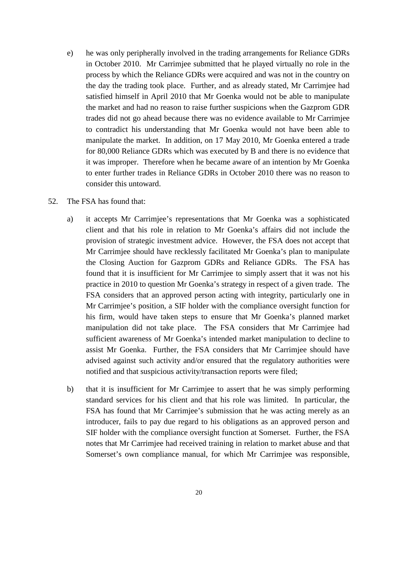- e) he was only peripherally involved in the trading arrangements for Reliance GDRs in October 2010. Mr Carrimjee submitted that he played virtually no role in the process by which the Reliance GDRs were acquired and was not in the country on the day the trading took place. Further, and as already stated, Mr Carrimjee had satisfied himself in April 2010 that Mr Goenka would not be able to manipulate the market and had no reason to raise further suspicions when the Gazprom GDR trades did not go ahead because there was no evidence available to Mr Carrimjee to contradict his understanding that Mr Goenka would not have been able to manipulate the market. In addition, on 17 May 2010, Mr Goenka entered a trade for 80,000 Reliance GDRs which was executed by B and there is no evidence that it was improper. Therefore when he became aware of an intention by Mr Goenka to enter further trades in Reliance GDRs in October 2010 there was no reason to consider this untoward.
- 52. The FSA has found that:
	- a) it accepts Mr Carrimjee's representations that Mr Goenka was a sophisticated client and that his role in relation to Mr Goenka's affairs did not include the provision of strategic investment advice. However, the FSA does not accept that Mr Carrimjee should have recklessly facilitated Mr Goenka's plan to manipulate the Closing Auction for Gazprom GDRs and Reliance GDRs. The FSA has found that it is insufficient for Mr Carrimjee to simply assert that it was not his practice in 2010 to question Mr Goenka's strategy in respect of a given trade. The FSA considers that an approved person acting with integrity, particularly one in Mr Carrimjee's position, a SIF holder with the compliance oversight function for his firm, would have taken steps to ensure that Mr Goenka's planned market manipulation did not take place. The FSA considers that Mr Carrimjee had sufficient awareness of Mr Goenka's intended market manipulation to decline to assist Mr Goenka. Further, the FSA considers that Mr Carrimjee should have advised against such activity and/or ensured that the regulatory authorities were notified and that suspicious activity/transaction reports were filed;
	- b) that it is insufficient for Mr Carrimjee to assert that he was simply performing standard services for his client and that his role was limited. In particular, the FSA has found that Mr Carrimjee's submission that he was acting merely as an introducer, fails to pay due regard to his obligations as an approved person and SIF holder with the compliance oversight function at Somerset. Further, the FSA notes that Mr Carrimjee had received training in relation to market abuse and that Somerset's own compliance manual, for which Mr Carrimjee was responsible,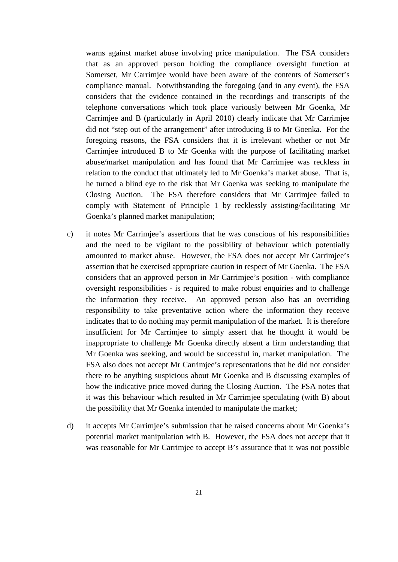warns against market abuse involving price manipulation. The FSA considers that as an approved person holding the compliance oversight function at Somerset, Mr Carrimjee would have been aware of the contents of Somerset's compliance manual. Notwithstanding the foregoing (and in any event), the FSA considers that the evidence contained in the recordings and transcripts of the telephone conversations which took place variously between Mr Goenka, Mr Carrimjee and B (particularly in April 2010) clearly indicate that Mr Carrimjee did not "step out of the arrangement" after introducing B to Mr Goenka. For the foregoing reasons, the FSA considers that it is irrelevant whether or not Mr Carrimjee introduced B to Mr Goenka with the purpose of facilitating market abuse/market manipulation and has found that Mr Carrimjee was reckless in relation to the conduct that ultimately led to Mr Goenka's market abuse. That is, he turned a blind eye to the risk that Mr Goenka was seeking to manipulate the Closing Auction. The FSA therefore considers that Mr Carrimjee failed to comply with Statement of Principle 1 by recklessly assisting/facilitating Mr Goenka's planned market manipulation;

- c) it notes Mr Carrimjee's assertions that he was conscious of his responsibilities and the need to be vigilant to the possibility of behaviour which potentially amounted to market abuse. However, the FSA does not accept Mr Carrimjee's assertion that he exercised appropriate caution in respect of Mr Goenka. The FSA considers that an approved person in Mr Carrimjee's position - with compliance oversight responsibilities - is required to make robust enquiries and to challenge the information they receive. An approved person also has an overriding responsibility to take preventative action where the information they receive indicates that to do nothing may permit manipulation of the market. It is therefore insufficient for Mr Carrimjee to simply assert that he thought it would be inappropriate to challenge Mr Goenka directly absent a firm understanding that Mr Goenka was seeking, and would be successful in, market manipulation. The FSA also does not accept Mr Carrimjee's representations that he did not consider there to be anything suspicious about Mr Goenka and B discussing examples of how the indicative price moved during the Closing Auction. The FSA notes that it was this behaviour which resulted in Mr Carrimjee speculating (with B) about the possibility that Mr Goenka intended to manipulate the market;
- d) it accepts Mr Carrimjee's submission that he raised concerns about Mr Goenka's potential market manipulation with B. However, the FSA does not accept that it was reasonable for Mr Carrimjee to accept B's assurance that it was not possible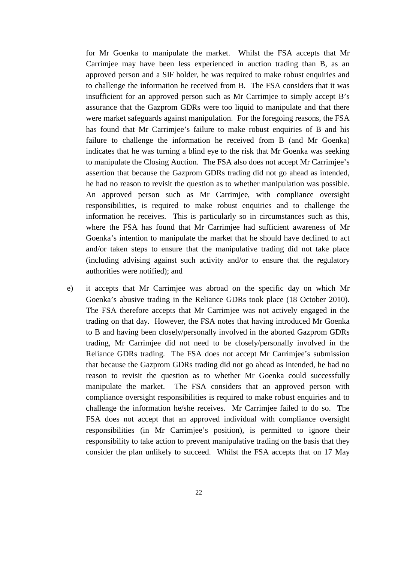for Mr Goenka to manipulate the market. Whilst the FSA accepts that Mr Carrimjee may have been less experienced in auction trading than B, as an approved person and a SIF holder, he was required to make robust enquiries and to challenge the information he received from B. The FSA considers that it was insufficient for an approved person such as Mr Carrimjee to simply accept B's assurance that the Gazprom GDRs were too liquid to manipulate and that there were market safeguards against manipulation. For the foregoing reasons, the FSA has found that Mr Carrimjee's failure to make robust enquiries of B and his failure to challenge the information he received from B (and Mr Goenka) indicates that he was turning a blind eye to the risk that Mr Goenka was seeking to manipulate the Closing Auction. The FSA also does not accept Mr Carrimjee's assertion that because the Gazprom GDRs trading did not go ahead as intended, he had no reason to revisit the question as to whether manipulation was possible. An approved person such as Mr Carrimjee, with compliance oversight responsibilities, is required to make robust enquiries and to challenge the information he receives. This is particularly so in circumstances such as this, where the FSA has found that Mr Carrimjee had sufficient awareness of Mr Goenka's intention to manipulate the market that he should have declined to act and/or taken steps to ensure that the manipulative trading did not take place (including advising against such activity and/or to ensure that the regulatory authorities were notified); and

e) it accepts that Mr Carrimjee was abroad on the specific day on which Mr Goenka's abusive trading in the Reliance GDRs took place (18 October 2010). The FSA therefore accepts that Mr Carrimjee was not actively engaged in the trading on that day. However, the FSA notes that having introduced Mr Goenka to B and having been closely/personally involved in the aborted Gazprom GDRs trading, Mr Carrimjee did not need to be closely/personally involved in the Reliance GDRs trading. The FSA does not accept Mr Carrimjee's submission that because the Gazprom GDRs trading did not go ahead as intended, he had no reason to revisit the question as to whether Mr Goenka could successfully manipulate the market. The FSA considers that an approved person with compliance oversight responsibilities is required to make robust enquiries and to challenge the information he/she receives. Mr Carrimjee failed to do so. The FSA does not accept that an approved individual with compliance oversight responsibilities (in Mr Carrimjee's position), is permitted to ignore their responsibility to take action to prevent manipulative trading on the basis that they consider the plan unlikely to succeed. Whilst the FSA accepts that on 17 May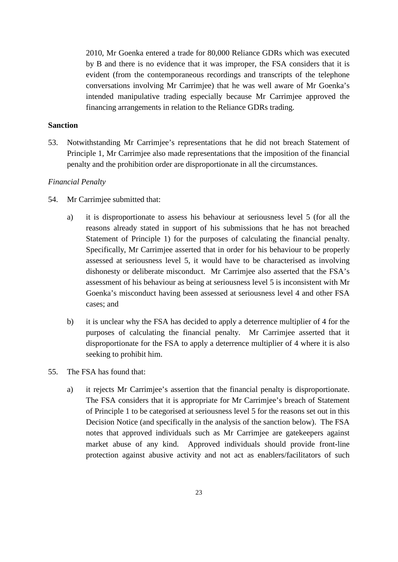2010, Mr Goenka entered a trade for 80,000 Reliance GDRs which was executed by B and there is no evidence that it was improper, the FSA considers that it is evident (from the contemporaneous recordings and transcripts of the telephone conversations involving Mr Carrimjee) that he was well aware of Mr Goenka's intended manipulative trading especially because Mr Carrimjee approved the financing arrangements in relation to the Reliance GDRs trading.

## **Sanction**

53. Notwithstanding Mr Carrimjee's representations that he did not breach Statement of Principle 1, Mr Carrimjee also made representations that the imposition of the financial penalty and the prohibition order are disproportionate in all the circumstances.

#### *Financial Penalty*

- 54. Mr Carrimjee submitted that:
	- a) it is disproportionate to assess his behaviour at seriousness level 5 (for all the reasons already stated in support of his submissions that he has not breached Statement of Principle 1) for the purposes of calculating the financial penalty. Specifically, Mr Carrimjee asserted that in order for his behaviour to be properly assessed at seriousness level 5, it would have to be characterised as involving dishonesty or deliberate misconduct. Mr Carrimjee also asserted that the FSA's assessment of his behaviour as being at seriousness level 5 is inconsistent with Mr Goenka's misconduct having been assessed at seriousness level 4 and other FSA cases; and
	- b) it is unclear why the FSA has decided to apply a deterrence multiplier of 4 for the purposes of calculating the financial penalty. Mr Carrimjee asserted that it disproportionate for the FSA to apply a deterrence multiplier of 4 where it is also seeking to prohibit him.
- 55. The FSA has found that:
	- a) it rejects Mr Carrimjee's assertion that the financial penalty is disproportionate. The FSA considers that it is appropriate for Mr Carrimjee's breach of Statement of Principle 1 to be categorised at seriousness level 5 for the reasons set out in this Decision Notice (and specifically in the analysis of the sanction below). The FSA notes that approved individuals such as Mr Carrimjee are gatekeepers against market abuse of any kind. Approved individuals should provide front-line protection against abusive activity and not act as enablers/facilitators of such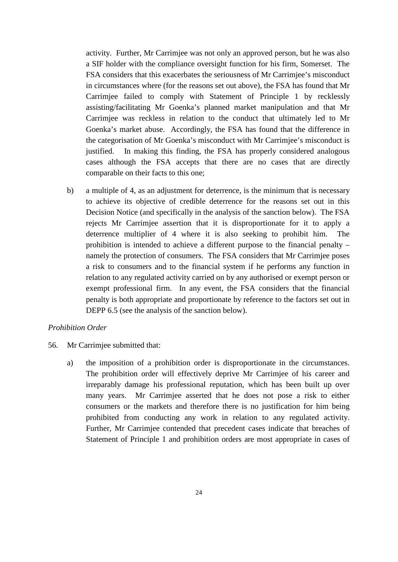activity. Further, Mr Carrimjee was not only an approved person, but he was also a SIF holder with the compliance oversight function for his firm, Somerset. The FSA considers that this exacerbates the seriousness of Mr Carrimjee's misconduct in circumstances where (for the reasons set out above), the FSA has found that Mr Carrimjee failed to comply with Statement of Principle 1 by recklessly assisting/facilitating Mr Goenka's planned market manipulation and that Mr Carrimjee was reckless in relation to the conduct that ultimately led to Mr Goenka's market abuse. Accordingly, the FSA has found that the difference in the categorisation of Mr Goenka's misconduct with Mr Carrimjee's misconduct is justified. In making this finding, the FSA has properly considered analogous cases although the FSA accepts that there are no cases that are directly comparable on their facts to this one;

b) a multiple of 4, as an adjustment for deterrence, is the minimum that is necessary to achieve its objective of credible deterrence for the reasons set out in this Decision Notice (and specifically in the analysis of the sanction below). The FSA rejects Mr Carrimjee assertion that it is disproportionate for it to apply a deterrence multiplier of 4 where it is also seeking to prohibit him. The prohibition is intended to achieve a different purpose to the financial penalty – namely the protection of consumers. The FSA considers that Mr Carrimjee poses a risk to consumers and to the financial system if he performs any function in relation to any regulated activity carried on by any authorised or exempt person or exempt professional firm. In any event, the FSA considers that the financial penalty is both appropriate and proportionate by reference to the factors set out in DEPP 6.5 (see the analysis of the sanction below).

#### *Prohibition Order*

- 56. Mr Carrimjee submitted that:
	- a) the imposition of a prohibition order is disproportionate in the circumstances. The prohibition order will effectively deprive Mr Carrimjee of his career and irreparably damage his professional reputation, which has been built up over many years. Mr Carrimjee asserted that he does not pose a risk to either consumers or the markets and therefore there is no justification for him being prohibited from conducting any work in relation to any regulated activity. Further, Mr Carrimjee contended that precedent cases indicate that breaches of Statement of Principle 1 and prohibition orders are most appropriate in cases of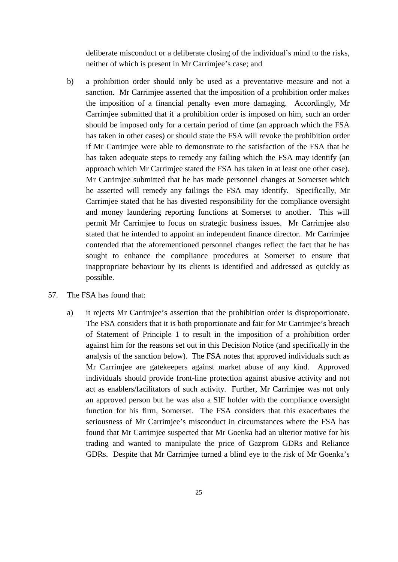deliberate misconduct or a deliberate closing of the individual's mind to the risks, neither of which is present in Mr Carrimjee's case; and

- b) a prohibition order should only be used as a preventative measure and not a sanction. Mr Carrimjee asserted that the imposition of a prohibition order makes the imposition of a financial penalty even more damaging. Accordingly, Mr Carrimjee submitted that if a prohibition order is imposed on him, such an order should be imposed only for a certain period of time (an approach which the FSA has taken in other cases) or should state the FSA will revoke the prohibition order if Mr Carrimjee were able to demonstrate to the satisfaction of the FSA that he has taken adequate steps to remedy any failing which the FSA may identify (an approach which Mr Carrimjee stated the FSA has taken in at least one other case). Mr Carrimjee submitted that he has made personnel changes at Somerset which he asserted will remedy any failings the FSA may identify. Specifically, Mr Carrimjee stated that he has divested responsibility for the compliance oversight and money laundering reporting functions at Somerset to another. This will permit Mr Carrimjee to focus on strategic business issues. Mr Carrimjee also stated that he intended to appoint an independent finance director. Mr Carrimjee contended that the aforementioned personnel changes reflect the fact that he has sought to enhance the compliance procedures at Somerset to ensure that inappropriate behaviour by its clients is identified and addressed as quickly as possible.
- 57. The FSA has found that:
	- a) it rejects Mr Carrimjee's assertion that the prohibition order is disproportionate. The FSA considers that it is both proportionate and fair for Mr Carrimjee's breach of Statement of Principle 1 to result in the imposition of a prohibition order against him for the reasons set out in this Decision Notice (and specifically in the analysis of the sanction below). The FSA notes that approved individuals such as Mr Carrimjee are gatekeepers against market abuse of any kind. Approved individuals should provide front-line protection against abusive activity and not act as enablers/facilitators of such activity. Further, Mr Carrimjee was not only an approved person but he was also a SIF holder with the compliance oversight function for his firm, Somerset. The FSA considers that this exacerbates the seriousness of Mr Carrimjee's misconduct in circumstances where the FSA has found that Mr Carrimjee suspected that Mr Goenka had an ulterior motive for his trading and wanted to manipulate the price of Gazprom GDRs and Reliance GDRs. Despite that Mr Carrimjee turned a blind eye to the risk of Mr Goenka's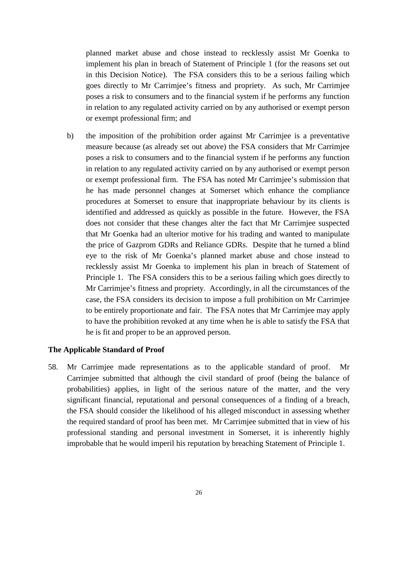planned market abuse and chose instead to recklessly assist Mr Goenka to implement his plan in breach of Statement of Principle 1 (for the reasons set out in this Decision Notice). The FSA considers this to be a serious failing which goes directly to Mr Carrimjee's fitness and propriety. As such, Mr Carrimjee poses a risk to consumers and to the financial system if he performs any function in relation to any regulated activity carried on by any authorised or exempt person or exempt professional firm; and

b) the imposition of the prohibition order against Mr Carrimjee is a preventative measure because (as already set out above) the FSA considers that Mr Carrimjee poses a risk to consumers and to the financial system if he performs any function in relation to any regulated activity carried on by any authorised or exempt person or exempt professional firm. The FSA has noted Mr Carrimjee's submission that he has made personnel changes at Somerset which enhance the compliance procedures at Somerset to ensure that inappropriate behaviour by its clients is identified and addressed as quickly as possible in the future. However, the FSA does not consider that these changes alter the fact that Mr Carrimjee suspected that Mr Goenka had an ulterior motive for his trading and wanted to manipulate the price of Gazprom GDRs and Reliance GDRs. Despite that he turned a blind eye to the risk of Mr Goenka's planned market abuse and chose instead to recklessly assist Mr Goenka to implement his plan in breach of Statement of Principle 1. The FSA considers this to be a serious failing which goes directly to Mr Carrimjee's fitness and propriety. Accordingly, in all the circumstances of the case, the FSA considers its decision to impose a full prohibition on Mr Carrimjee to be entirely proportionate and fair. The FSA notes that Mr Carrimjee may apply to have the prohibition revoked at any time when he is able to satisfy the FSA that he is fit and proper to be an approved person.

#### **The Applicable Standard of Proof**

58. Mr Carrimjee made representations as to the applicable standard of proof. Mr Carrimjee submitted that although the civil standard of proof (being the balance of probabilities) applies, in light of the serious nature of the matter, and the very significant financial, reputational and personal consequences of a finding of a breach, the FSA should consider the likelihood of his alleged misconduct in assessing whether the required standard of proof has been met. Mr Carrimjee submitted that in view of his professional standing and personal investment in Somerset, it is inherently highly improbable that he would imperil his reputation by breaching Statement of Principle 1.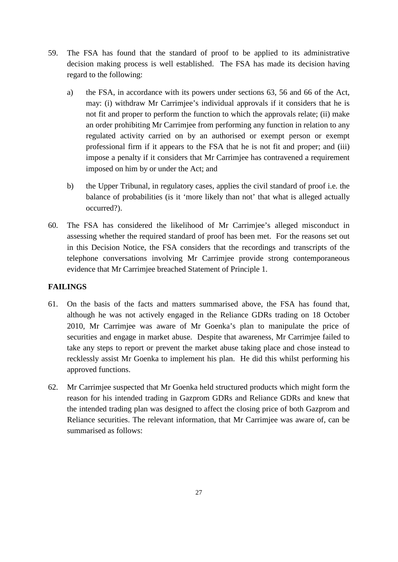- 59. The FSA has found that the standard of proof to be applied to its administrative decision making process is well established. The FSA has made its decision having regard to the following:
	- a) the FSA, in accordance with its powers under sections 63, 56 and 66 of the Act, may: (i) withdraw Mr Carrimjee's individual approvals if it considers that he is not fit and proper to perform the function to which the approvals relate; (ii) make an order prohibiting Mr Carrimjee from performing any function in relation to any regulated activity carried on by an authorised or exempt person or exempt professional firm if it appears to the FSA that he is not fit and proper; and (iii) impose a penalty if it considers that Mr Carrimjee has contravened a requirement imposed on him by or under the Act; and
	- b) the Upper Tribunal, in regulatory cases, applies the civil standard of proof i.e. the balance of probabilities (is it 'more likely than not' that what is alleged actually occurred?).
- 60. The FSA has considered the likelihood of Mr Carrimjee's alleged misconduct in assessing whether the required standard of proof has been met. For the reasons set out in this Decision Notice, the FSA considers that the recordings and transcripts of the telephone conversations involving Mr Carrimjee provide strong contemporaneous evidence that Mr Carrimjee breached Statement of Principle 1.

## **FAILINGS**

- 61. On the basis of the facts and matters summarised above, the FSA has found that, although he was not actively engaged in the Reliance GDRs trading on 18 October 2010, Mr Carrimjee was aware of Mr Goenka's plan to manipulate the price of securities and engage in market abuse. Despite that awareness, Mr Carrimjee failed to take any steps to report or prevent the market abuse taking place and chose instead to recklessly assist Mr Goenka to implement his plan. He did this whilst performing his approved functions.
- 62. Mr Carrimjee suspected that Mr Goenka held structured products which might form the reason for his intended trading in Gazprom GDRs and Reliance GDRs and knew that the intended trading plan was designed to affect the closing price of both Gazprom and Reliance securities. The relevant information, that Mr Carrimjee was aware of, can be summarised as follows: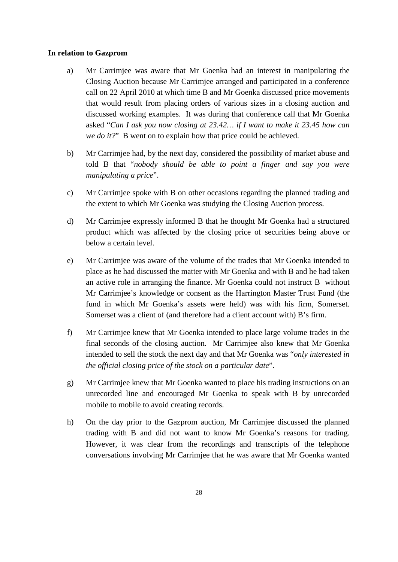#### **In relation to Gazprom**

- a) Mr Carrimjee was aware that Mr Goenka had an interest in manipulating the Closing Auction because Mr Carrimjee arranged and participated in a conference call on 22 April 2010 at which time B and Mr Goenka discussed price movements that would result from placing orders of various sizes in a closing auction and discussed working examples. It was during that conference call that Mr Goenka asked "*Can I ask you now closing at 23.42… if I want to make it 23.45 how can we do it?*" B went on to explain how that price could be achieved.
- b) Mr Carrimjee had, by the next day, considered the possibility of market abuse and told B that "*nobody should be able to point a finger and say you were manipulating a price*".
- c) Mr Carrimjee spoke with B on other occasions regarding the planned trading and the extent to which Mr Goenka was studying the Closing Auction process.
- d) Mr Carrimjee expressly informed B that he thought Mr Goenka had a structured product which was affected by the closing price of securities being above or below a certain level.
- e) Mr Carrimjee was aware of the volume of the trades that Mr Goenka intended to place as he had discussed the matter with Mr Goenka and with B and he had taken an active role in arranging the finance. Mr Goenka could not instruct B without Mr Carrimjee's knowledge or consent as the Harrington Master Trust Fund (the fund in which Mr Goenka's assets were held) was with his firm, Somerset. Somerset was a client of (and therefore had a client account with) B's firm.
- f) Mr Carrimjee knew that Mr Goenka intended to place large volume trades in the final seconds of the closing auction. Mr Carrimjee also knew that Mr Goenka intended to sell the stock the next day and that Mr Goenka was "*only interested in the official closing price of the stock on a particular date*".
- g) Mr Carrimjee knew that Mr Goenka wanted to place his trading instructions on an unrecorded line and encouraged Mr Goenka to speak with B by unrecorded mobile to mobile to avoid creating records.
- h) On the day prior to the Gazprom auction, Mr Carrimjee discussed the planned trading with B and did not want to know Mr Goenka's reasons for trading. However, it was clear from the recordings and transcripts of the telephone conversations involving Mr Carrimjee that he was aware that Mr Goenka wanted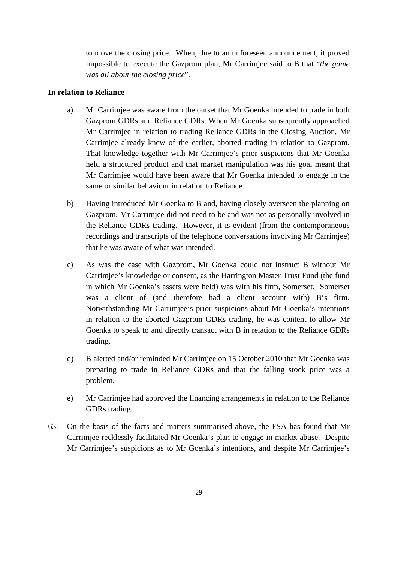to move the closing price. When, due to an unforeseen announcement, it proved impossible to execute the Gazprom plan, Mr Carrimjee said to B that "*the game was all about the closing price*".

## **In relation to Reliance**

- a) Mr Carrimjee was aware from the outset that Mr Goenka intended to trade in both Gazprom GDRs and Reliance GDRs. When Mr Goenka subsequently approached Mr Carrimjee in relation to trading Reliance GDRs in the Closing Auction, Mr Carrimjee already knew of the earlier, aborted trading in relation to Gazprom. That knowledge together with Mr Carrimjee's prior suspicions that Mr Goenka held a structured product and that market manipulation was his goal meant that Mr Carrimjee would have been aware that Mr Goenka intended to engage in the same or similar behaviour in relation to Reliance.
- b) Having introduced Mr Goenka to B and, having closely overseen the planning on Gazprom, Mr Carrimjee did not need to be and was not as personally involved in the Reliance GDRs trading. However, it is evident (from the contemporaneous recordings and transcripts of the telephone conversations involving Mr Carrimjee) that he was aware of what was intended.
- c) As was the case with Gazprom, Mr Goenka could not instruct B without Mr Carrimjee's knowledge or consent, as the Harrington Master Trust Fund (the fund in which Mr Goenka's assets were held) was with his firm, Somerset. Somerset was a client of (and therefore had a client account with) B's firm. Notwithstanding Mr Carrimjee's prior suspicions about Mr Goenka's intentions in relation to the aborted Gazprom GDRs trading, he was content to allow Mr Goenka to speak to and directly transact with B in relation to the Reliance GDRs trading.
- d) B alerted and/or reminded Mr Carrimjee on 15 October 2010 that Mr Goenka was preparing to trade in Reliance GDRs and that the falling stock price was a problem.
- e) Mr Carrimjee had approved the financing arrangements in relation to the Reliance GDRs trading.
- 63. On the basis of the facts and matters summarised above, the FSA has found that Mr Carrimjee recklessly facilitated Mr Goenka's plan to engage in market abuse. Despite Mr Carrimjee's suspicions as to Mr Goenka's intentions, and despite Mr Carrimjee's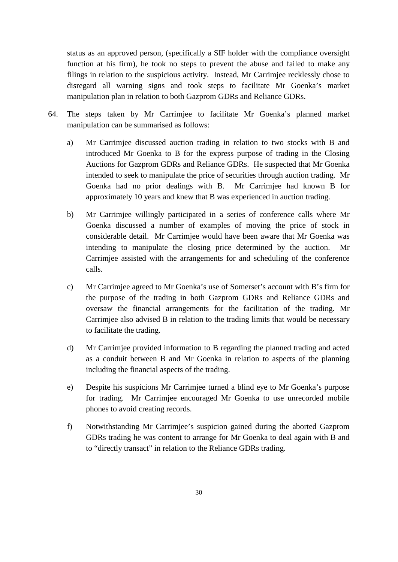status as an approved person, (specifically a SIF holder with the compliance oversight function at his firm), he took no steps to prevent the abuse and failed to make any filings in relation to the suspicious activity. Instead, Mr Carrimjee recklessly chose to disregard all warning signs and took steps to facilitate Mr Goenka's market manipulation plan in relation to both Gazprom GDRs and Reliance GDRs.

- 64. The steps taken by Mr Carrimjee to facilitate Mr Goenka's planned market manipulation can be summarised as follows:
	- a) Mr Carrimjee discussed auction trading in relation to two stocks with B and introduced Mr Goenka to B for the express purpose of trading in the Closing Auctions for Gazprom GDRs and Reliance GDRs. He suspected that Mr Goenka intended to seek to manipulate the price of securities through auction trading. Mr Goenka had no prior dealings with B. Mr Carrimjee had known B for approximately 10 years and knew that B was experienced in auction trading.
	- b) Mr Carrimjee willingly participated in a series of conference calls where Mr Goenka discussed a number of examples of moving the price of stock in considerable detail. Mr Carrimjee would have been aware that Mr Goenka was intending to manipulate the closing price determined by the auction. Mr Carrimjee assisted with the arrangements for and scheduling of the conference calls.
	- c) Mr Carrimjee agreed to Mr Goenka's use of Somerset's account with B's firm for the purpose of the trading in both Gazprom GDRs and Reliance GDRs and oversaw the financial arrangements for the facilitation of the trading. Mr Carrimjee also advised B in relation to the trading limits that would be necessary to facilitate the trading.
	- d) Mr Carrimjee provided information to B regarding the planned trading and acted as a conduit between B and Mr Goenka in relation to aspects of the planning including the financial aspects of the trading.
	- e) Despite his suspicions Mr Carrimjee turned a blind eye to Mr Goenka's purpose for trading. Mr Carrimjee encouraged Mr Goenka to use unrecorded mobile phones to avoid creating records.
	- f) Notwithstanding Mr Carrimjee's suspicion gained during the aborted Gazprom GDRs trading he was content to arrange for Mr Goenka to deal again with B and to "directly transact" in relation to the Reliance GDRs trading.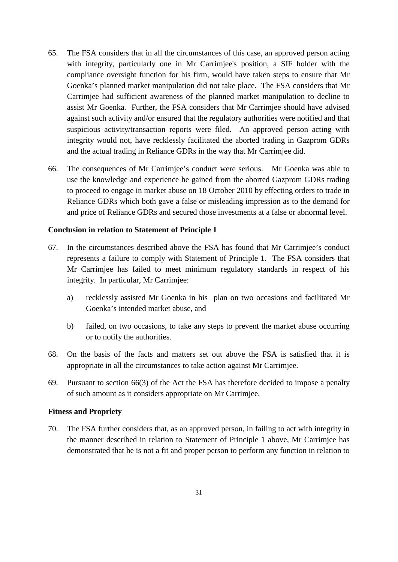- 65. The FSA considers that in all the circumstances of this case, an approved person acting with integrity, particularly one in Mr Carrimjee's position, a SIF holder with the compliance oversight function for his firm, would have taken steps to ensure that Mr Goenka's planned market manipulation did not take place. The FSA considers that Mr Carrimjee had sufficient awareness of the planned market manipulation to decline to assist Mr Goenka. Further, the FSA considers that Mr Carrimjee should have advised against such activity and/or ensured that the regulatory authorities were notified and that suspicious activity/transaction reports were filed. An approved person acting with integrity would not, have recklessly facilitated the aborted trading in Gazprom GDRs and the actual trading in Reliance GDRs in the way that Mr Carrimjee did.
- 66. The consequences of Mr Carrimjee's conduct were serious. Mr Goenka was able to use the knowledge and experience he gained from the aborted Gazprom GDRs trading to proceed to engage in market abuse on 18 October 2010 by effecting orders to trade in Reliance GDRs which both gave a false or misleading impression as to the demand for and price of Reliance GDRs and secured those investments at a false or abnormal level.

#### **Conclusion in relation to Statement of Principle 1**

- 67. In the circumstances described above the FSA has found that Mr Carrimjee's conduct represents a failure to comply with Statement of Principle 1. The FSA considers that Mr Carrimjee has failed to meet minimum regulatory standards in respect of his integrity. In particular, Mr Carrimjee:
	- a) recklessly assisted Mr Goenka in his plan on two occasions and facilitated Mr Goenka's intended market abuse, and
	- b) failed, on two occasions, to take any steps to prevent the market abuse occurring or to notify the authorities.
- 68. On the basis of the facts and matters set out above the FSA is satisfied that it is appropriate in all the circumstances to take action against Mr Carrimjee.
- 69. Pursuant to section 66(3) of the Act the FSA has therefore decided to impose a penalty of such amount as it considers appropriate on Mr Carrimjee.

### **Fitness and Propriety**

70. The FSA further considers that, as an approved person, in failing to act with integrity in the manner described in relation to Statement of Principle 1 above, Mr Carrimjee has demonstrated that he is not a fit and proper person to perform any function in relation to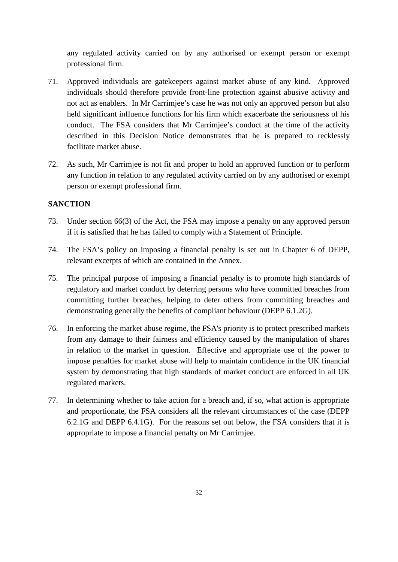any regulated activity carried on by any authorised or exempt person or exempt professional firm.

- 71. Approved individuals are gatekeepers against market abuse of any kind. Approved individuals should therefore provide front-line protection against abusive activity and not act as enablers. In Mr Carrimjee's case he was not only an approved person but also held significant influence functions for his firm which exacerbate the seriousness of his conduct. The FSA considers that Mr Carrimjee's conduct at the time of the activity described in this Decision Notice demonstrates that he is prepared to recklessly facilitate market abuse.
- 72. As such, Mr Carrimjee is not fit and proper to hold an approved function or to perform any function in relation to any regulated activity carried on by any authorised or exempt person or exempt professional firm.

## **SANCTION**

- 73. Under section 66(3) of the Act, the FSA may impose a penalty on any approved person if it is satisfied that he has failed to comply with a Statement of Principle.
- 74. The FSA's policy on imposing a financial penalty is set out in Chapter 6 of DEPP, relevant excerpts of which are contained in the Annex.
- 75. The principal purpose of imposing a financial penalty is to promote high standards of regulatory and market conduct by deterring persons who have committed breaches from committing further breaches, helping to deter others from committing breaches and demonstrating generally the benefits of compliant behaviour (DEPP 6.1.2G).
- 76. In enforcing the market abuse regime, the FSA's priority is to protect prescribed markets from any damage to their fairness and efficiency caused by the manipulation of shares in relation to the market in question. Effective and appropriate use of the power to impose penalties for market abuse will help to maintain confidence in the UK financial system by demonstrating that high standards of market conduct are enforced in all UK regulated markets.
- 77. In determining whether to take action for a breach and, if so, what action is appropriate and proportionate, the FSA considers all the relevant circumstances of the case (DEPP 6.2.1G and DEPP 6.4.1G). For the reasons set out below, the FSA considers that it is appropriate to impose a financial penalty on Mr Carrimjee.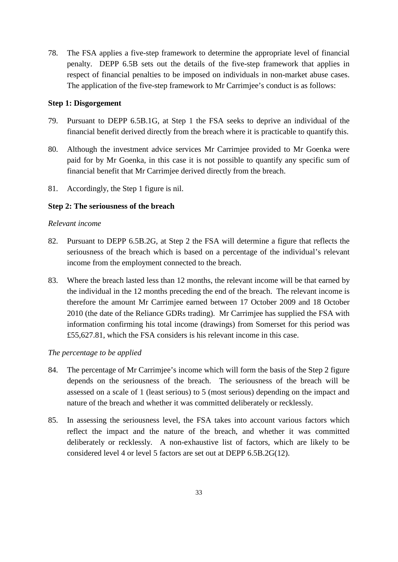78. The FSA applies a five-step framework to determine the appropriate level of financial penalty. DEPP 6.5B sets out the details of the five-step framework that applies in respect of financial penalties to be imposed on individuals in non-market abuse cases. The application of the five-step framework to Mr Carrimjee's conduct is as follows:

#### **Step 1: Disgorgement**

- 79. Pursuant to DEPP 6.5B.1G, at Step 1 the FSA seeks to deprive an individual of the financial benefit derived directly from the breach where it is practicable to quantify this.
- 80. Although the investment advice services Mr Carrimjee provided to Mr Goenka were paid for by Mr Goenka, in this case it is not possible to quantify any specific sum of financial benefit that Mr Carrimjee derived directly from the breach.
- 81. Accordingly, the Step 1 figure is nil.

#### **Step 2: The seriousness of the breach**

#### *Relevant income*

- 82. Pursuant to DEPP 6.5B.2G, at Step 2 the FSA will determine a figure that reflects the seriousness of the breach which is based on a percentage of the individual's relevant income from the employment connected to the breach.
- 83. Where the breach lasted less than 12 months, the relevant income will be that earned by the individual in the 12 months preceding the end of the breach. The relevant income is therefore the amount Mr Carrimjee earned between 17 October 2009 and 18 October 2010 (the date of the Reliance GDRs trading). Mr Carrimjee has supplied the FSA with information confirming his total income (drawings) from Somerset for this period was £55,627.81, which the FSA considers is his relevant income in this case.

## *The percentage to be applied*

- 84. The percentage of Mr Carrimjee's income which will form the basis of the Step 2 figure depends on the seriousness of the breach. The seriousness of the breach will be assessed on a scale of 1 (least serious) to 5 (most serious) depending on the impact and nature of the breach and whether it was committed deliberately or recklessly.
- 85. In assessing the seriousness level, the FSA takes into account various factors which reflect the impact and the nature of the breach, and whether it was committed deliberately or recklessly. A non-exhaustive list of factors, which are likely to be considered level 4 or level 5 factors are set out at DEPP 6.5B.2G(12).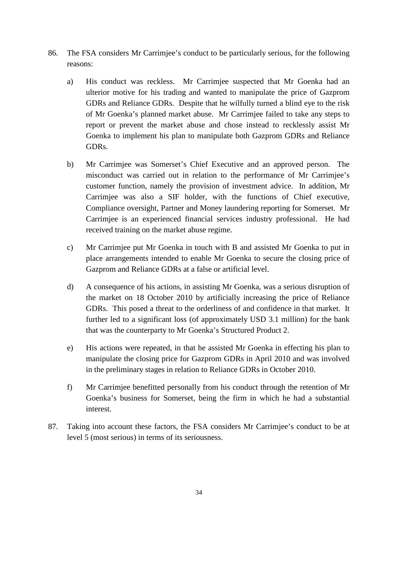- 86. The FSA considers Mr Carrimjee's conduct to be particularly serious, for the following reasons:
	- a) His conduct was reckless. Mr Carrimjee suspected that Mr Goenka had an ulterior motive for his trading and wanted to manipulate the price of Gazprom GDRs and Reliance GDRs. Despite that he wilfully turned a blind eye to the risk of Mr Goenka's planned market abuse. Mr Carrimjee failed to take any steps to report or prevent the market abuse and chose instead to recklessly assist Mr Goenka to implement his plan to manipulate both Gazprom GDRs and Reliance GDRs.
	- b) Mr Carrimjee was Somerset's Chief Executive and an approved person. The misconduct was carried out in relation to the performance of Mr Carrimjee's customer function, namely the provision of investment advice. In addition, Mr Carrimjee was also a SIF holder, with the functions of Chief executive, Compliance oversight, Partner and Money laundering reporting for Somerset. Mr Carrimjee is an experienced financial services industry professional. He had received training on the market abuse regime.
	- c) Mr Carrimjee put Mr Goenka in touch with B and assisted Mr Goenka to put in place arrangements intended to enable Mr Goenka to secure the closing price of Gazprom and Reliance GDRs at a false or artificial level.
	- d) A consequence of his actions, in assisting Mr Goenka, was a serious disruption of the market on 18 October 2010 by artificially increasing the price of Reliance GDRs. This posed a threat to the orderliness of and confidence in that market. It further led to a significant loss (of approximately USD 3.1 million) for the bank that was the counterparty to Mr Goenka's Structured Product 2.
	- e) His actions were repeated, in that he assisted Mr Goenka in effecting his plan to manipulate the closing price for Gazprom GDRs in April 2010 and was involved in the preliminary stages in relation to Reliance GDRs in October 2010.
	- f) Mr Carrimjee benefitted personally from his conduct through the retention of Mr Goenka's business for Somerset, being the firm in which he had a substantial interest.
- 87. Taking into account these factors, the FSA considers Mr Carrimjee's conduct to be at level 5 (most serious) in terms of its seriousness.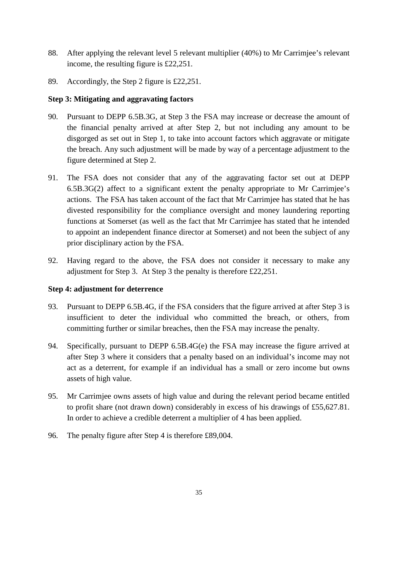- 88. After applying the relevant level 5 relevant multiplier (40%) to Mr Carrimjee's relevant income, the resulting figure is £22,251.
- 89. Accordingly, the Step 2 figure is £22,251.

## **Step 3: Mitigating and aggravating factors**

- 90. Pursuant to DEPP 6.5B.3G, at Step 3 the FSA may increase or decrease the amount of the financial penalty arrived at after Step 2, but not including any amount to be disgorged as set out in Step 1, to take into account factors which aggravate or mitigate the breach. Any such adjustment will be made by way of a percentage adjustment to the figure determined at Step 2.
- 91. The FSA does not consider that any of the aggravating factor set out at DEPP 6.5B.3G(2) affect to a significant extent the penalty appropriate to Mr Carrimjee's actions. The FSA has taken account of the fact that Mr Carrimjee has stated that he has divested responsibility for the compliance oversight and money laundering reporting functions at Somerset (as well as the fact that Mr Carrimjee has stated that he intended to appoint an independent finance director at Somerset) and not been the subject of any prior disciplinary action by the FSA.
- 92. Having regard to the above, the FSA does not consider it necessary to make any adjustment for Step 3. At Step 3 the penalty is therefore £22,251.

## **Step 4: adjustment for deterrence**

- 93. Pursuant to DEPP 6.5B.4G, if the FSA considers that the figure arrived at after Step 3 is insufficient to deter the individual who committed the breach, or others, from committing further or similar breaches, then the FSA may increase the penalty.
- 94. Specifically, pursuant to DEPP 6.5B.4G(e) the FSA may increase the figure arrived at after Step 3 where it considers that a penalty based on an individual's income may not act as a deterrent, for example if an individual has a small or zero income but owns assets of high value.
- 95. Mr Carrimjee owns assets of high value and during the relevant period became entitled to profit share (not drawn down) considerably in excess of his drawings of £55,627.81. In order to achieve a credible deterrent a multiplier of 4 has been applied.
- 96. The penalty figure after Step 4 is therefore £89,004.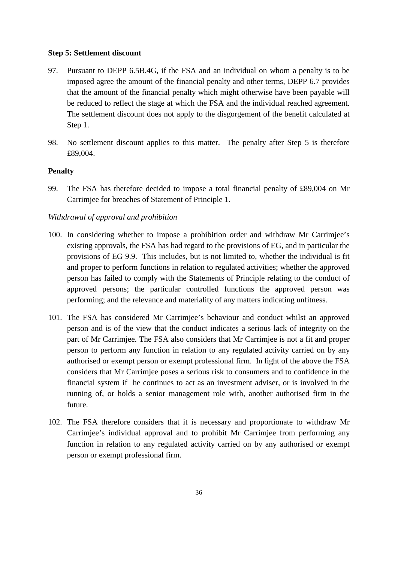#### **Step 5: Settlement discount**

- 97. Pursuant to DEPP 6.5B.4G, if the FSA and an individual on whom a penalty is to be imposed agree the amount of the financial penalty and other terms, DEPP 6.7 provides that the amount of the financial penalty which might otherwise have been payable will be reduced to reflect the stage at which the FSA and the individual reached agreement. The settlement discount does not apply to the disgorgement of the benefit calculated at Step 1.
- 98. No settlement discount applies to this matter. The penalty after Step 5 is therefore £89,004.

#### **Penalty**

99. The FSA has therefore decided to impose a total financial penalty of £89,004 on Mr Carrimjee for breaches of Statement of Principle 1.

#### *Withdrawal of approval and prohibition*

- 100. In considering whether to impose a prohibition order and withdraw Mr Carrimjee's existing approvals, the FSA has had regard to the provisions of EG, and in particular the provisions of EG 9.9. This includes, but is not limited to, whether the individual is fit and proper to perform functions in relation to regulated activities; whether the approved person has failed to comply with the Statements of Principle relating to the conduct of approved persons; the particular controlled functions the approved person was performing; and the relevance and materiality of any matters indicating unfitness.
- 101. The FSA has considered Mr Carrimjee's behaviour and conduct whilst an approved person and is of the view that the conduct indicates a serious lack of integrity on the part of Mr Carrimjee. The FSA also considers that Mr Carrimjee is not a fit and proper person to perform any function in relation to any regulated activity carried on by any authorised or exempt person or exempt professional firm. In light of the above the FSA considers that Mr Carrimjee poses a serious risk to consumers and to confidence in the financial system if he continues to act as an investment adviser, or is involved in the running of, or holds a senior management role with, another authorised firm in the future.
- 102. The FSA therefore considers that it is necessary and proportionate to withdraw Mr Carrimjee's individual approval and to prohibit Mr Carrimjee from performing any function in relation to any regulated activity carried on by any authorised or exempt person or exempt professional firm.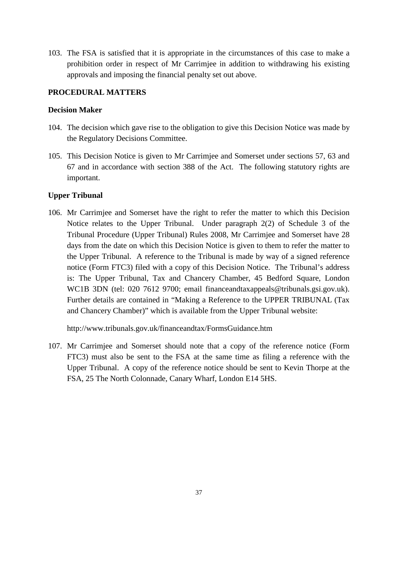103. The FSA is satisfied that it is appropriate in the circumstances of this case to make a prohibition order in respect of Mr Carrimjee in addition to withdrawing his existing approvals and imposing the financial penalty set out above.

## **PROCEDURAL MATTERS**

### **Decision Maker**

- 104. The decision which gave rise to the obligation to give this Decision Notice was made by the Regulatory Decisions Committee.
- 105. This Decision Notice is given to Mr Carrimjee and Somerset under sections 57, 63 and 67 and in accordance with section 388 of the Act. The following statutory rights are important.

#### **Upper Tribunal**

106. Mr Carrimjee and Somerset have the right to refer the matter to which this Decision Notice relates to the Upper Tribunal. Under paragraph 2(2) of Schedule 3 of the Tribunal Procedure (Upper Tribunal) Rules 2008, Mr Carrimjee and Somerset have 28 days from the date on which this Decision Notice is given to them to refer the matter to the Upper Tribunal. A reference to the Tribunal is made by way of a signed reference notice (Form FTC3) filed with a copy of this Decision Notice. The Tribunal's address is: The Upper Tribunal, Tax and Chancery Chamber, 45 Bedford Square, London WC1B 3DN (tel: 020 7612 9700; email financeandtaxappeals@tribunals.gsi.gov.uk). Further details are contained in "Making a Reference to the UPPER TRIBUNAL (Tax and Chancery Chamber)" which is available from the Upper Tribunal website:

http://www.tribunals.gov.uk/financeandtax/FormsGuidance.htm

107. Mr Carrimjee and Somerset should note that a copy of the reference notice (Form FTC3) must also be sent to the FSA at the same time as filing a reference with the Upper Tribunal. A copy of the reference notice should be sent to Kevin Thorpe at the FSA, 25 The North Colonnade, Canary Wharf, London E14 5HS.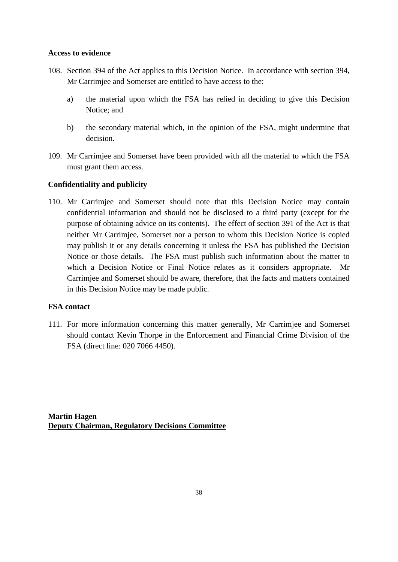#### **Access to evidence**

- 108. Section 394 of the Act applies to this Decision Notice. In accordance with section 394, Mr Carrimjee and Somerset are entitled to have access to the:
	- a) the material upon which the FSA has relied in deciding to give this Decision Notice; and
	- b) the secondary material which, in the opinion of the FSA, might undermine that decision.
- 109. Mr Carrimjee and Somerset have been provided with all the material to which the FSA must grant them access.

## **Confidentiality and publicity**

110. Mr Carrimjee and Somerset should note that this Decision Notice may contain confidential information and should not be disclosed to a third party (except for the purpose of obtaining advice on its contents). The effect of section 391 of the Act is that neither Mr Carrimjee, Somerset nor a person to whom this Decision Notice is copied may publish it or any details concerning it unless the FSA has published the Decision Notice or those details. The FSA must publish such information about the matter to which a Decision Notice or Final Notice relates as it considers appropriate. Mr Carrimjee and Somerset should be aware, therefore, that the facts and matters contained in this Decision Notice may be made public.

## **FSA contact**

111. For more information concerning this matter generally, Mr Carrimjee and Somerset should contact Kevin Thorpe in the Enforcement and Financial Crime Division of the FSA (direct line: 020 7066 4450).

**Martin Hagen Deputy Chairman, Regulatory Decisions Committee**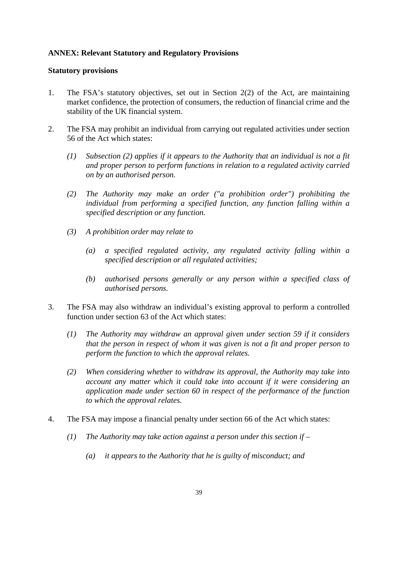## **ANNEX: Relevant Statutory and Regulatory Provisions**

#### **Statutory provisions**

- 1. The FSA's statutory objectives, set out in Section 2(2) of the Act, are maintaining market confidence, the protection of consumers, the reduction of financial crime and the stability of the UK financial system.
- 2. The FSA may prohibit an individual from carrying out regulated activities under section 56 of the Act which states:
	- *(1) Subsection (2) applies if it appears to the Authority that an individual is not a fit and proper person to perform functions in relation to a regulated activity carried on by an authorised person.*
	- *(2) The Authority may make an order ("a prohibition order") prohibiting the individual from performing a specified function, any function falling within a specified description or any function.*
	- *(3) A prohibition order may relate to* 
		- *(a) a specified regulated activity, any regulated activity falling within a specified description or all regulated activities;*
		- *(b) authorised persons generally or any person within a specified class of authorised persons.*
- 3. The FSA may also withdraw an individual's existing approval to perform a controlled function under section 63 of the Act which states:
	- *(1) The Authority may withdraw an approval given under section 59 if it considers that the person in respect of whom it was given is not a fit and proper person to perform the function to which the approval relates.*
	- *(2) When considering whether to withdraw its approval, the Authority may take into account any matter which it could take into account if it were considering an application made under section 60 in respect of the performance of the function to which the approval relates.*
- 4. The FSA may impose a financial penalty under section 66 of the Act which states:
	- *(1) The Authority may take action against a person under this section if –*
		- *(a) it appears to the Authority that he is guilty of misconduct; and*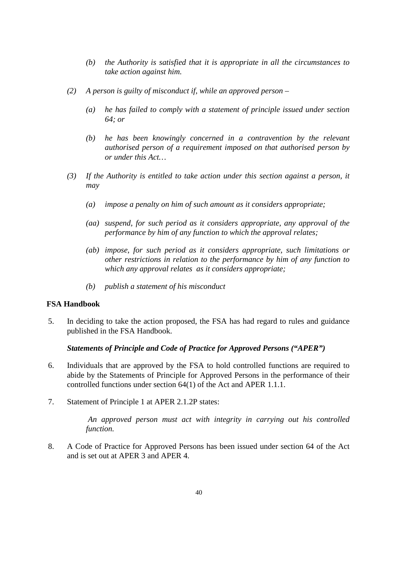- *(b) the Authority is satisfied that it is appropriate in all the circumstances to take action against him.*
- *(2) A person is guilty of misconduct if, while an approved person –*
	- *(a) he has failed to comply with a statement of principle issued under section 64; or*
	- *(b) he has been knowingly concerned in a contravention by the relevant authorised person of a requirement imposed on that authorised person by or under this Act…*
- *(3) If the Authority is entitled to take action under this section against a person, it may*
	- *(a) impose a penalty on him of such amount as it considers appropriate;*
	- *(aa) suspend, for such period as it considers appropriate, any approval of the performance by him of any function to which the approval relates;*
	- *(ab) impose, for such period as it considers appropriate, such limitations or other restrictions in relation to the performance by him of any function to which any approval relates as it considers appropriate;*
	- *(b) publish a statement of his misconduct*

#### **FSA Handbook**

5. In deciding to take the action proposed, the FSA has had regard to rules and guidance published in the FSA Handbook.

#### *Statements of Principle and Code of Practice for Approved Persons ("APER")*

- 6. Individuals that are approved by the FSA to hold controlled functions are required to abide by the Statements of Principle for Approved Persons in the performance of their controlled functions under section 64(1) of the Act and APER 1.1.1.
- 7. Statement of Principle 1 at APER 2.1.2P states:

*An approved person must act with integrity in carrying out his controlled function.*

8. A Code of Practice for Approved Persons has been issued under section 64 of the Act and is set out at APER 3 and APER 4.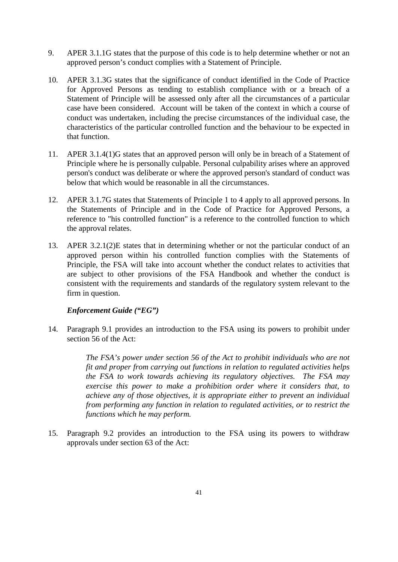- 9. APER 3.1.1G states that the purpose of this code is to help determine whether or not an approved person's conduct complies with a Statement of Principle.
- 10. APER 3.1.3G states that the significance of conduct identified in the Code of Practice for Approved Persons as tending to establish compliance with or a breach of a Statement of Principle will be assessed only after all the circumstances of a particular case have been considered. Account will be taken of the context in which a course of conduct was undertaken, including the precise circumstances of the individual case, the characteristics of the particular controlled function and the behaviour to be expected in that function.
- 11. APER 3.1.4(1)G states that an approved person will only be in breach of a Statement of Principle where he is personally culpable. Personal culpability arises where an approved person's conduct was deliberate or where the approved person's standard of conduct was below that which would be reasonable in all the circumstances.
- 12. APER 3.1.7G states that Statements of Principle 1 to 4 apply to all approved persons. In the Statements of Principle and in the Code of Practice for Approved Persons, a reference to "his controlled function" is a reference to the controlled function to which the approval relates.
- 13. APER 3.2.1(2)E states that in determining whether or not the particular conduct of an approved person within his controlled function complies with the Statements of Principle, the FSA will take into account whether the conduct relates to activities that are subject to other provisions of the FSA Handbook and whether the conduct is consistent with the requirements and standards of the regulatory system relevant to the firm in question.

## *Enforcement Guide ("EG")*

14. Paragraph 9.1 provides an introduction to the FSA using its powers to prohibit under section 56 of the Act:

> *The FSA's power under section 56 of the Act to prohibit individuals who are not fit and proper from carrying out functions in relation to regulated activities helps the FSA to work towards achieving its regulatory objectives. The FSA may exercise this power to make a prohibition order where it considers that, to achieve any of those objectives, it is appropriate either to prevent an individual from performing any function in relation to regulated activities, or to restrict the functions which he may perform.*

15. Paragraph 9.2 provides an introduction to the FSA using its powers to withdraw approvals under section 63 of the Act: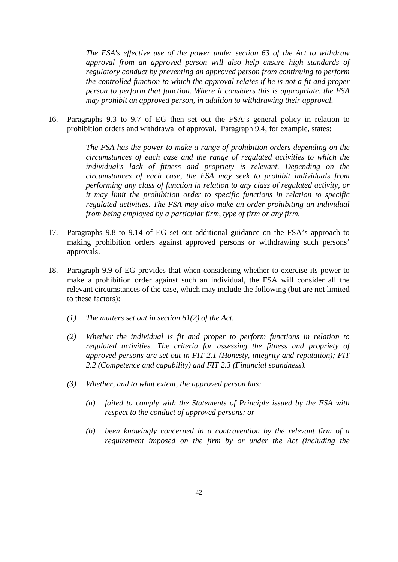*The FSA's effective use of the power under section 63 of the Act to withdraw approval from an approved person will also help ensure high standards of regulatory conduct by preventing an approved person from continuing to perform the controlled function to which the approval relates if he is not a fit and proper person to perform that function. Where it considers this is appropriate, the FSA may prohibit an approved person, in addition to withdrawing their approval.*

16. Paragraphs 9.3 to 9.7 of EG then set out the FSA's general policy in relation to prohibition orders and withdrawal of approval. Paragraph 9.4, for example, states:

> *The FSA has the power to make a range of prohibition orders depending on the circumstances of each case and the range of regulated activities to which the individual's lack of fitness and propriety is relevant. Depending on the circumstances of each case, the FSA may seek to prohibit individuals from performing any class of function in relation to any class of regulated activity, or it may limit the prohibition order to specific functions in relation to specific regulated activities. The FSA may also make an order prohibiting an individual from being employed by a particular firm, type of firm or any firm.*

- 17. Paragraphs 9.8 to 9.14 of EG set out additional guidance on the FSA's approach to making prohibition orders against approved persons or withdrawing such persons' approvals.
- 18. Paragraph 9.9 of EG provides that when considering whether to exercise its power to make a prohibition order against such an individual, the FSA will consider all the relevant circumstances of the case, which may include the following (but are not limited to these factors):
	- *(1) The matters set out in section 61(2) of the Act.*
	- *(2) Whether the individual is fit and proper to perform functions in relation to regulated activities. The criteria for assessing the fitness and propriety of approved persons are set out in FIT 2.1 (Honesty, integrity and reputation); FIT 2.2 (Competence and capability) and FIT 2.3 (Financial soundness).*
	- *(3) Whether, and to what extent, the approved person has:*
		- *(a) failed to comply with the Statements of Principle issued by the FSA with respect to the conduct of approved persons; or*
		- *(b) been knowingly concerned in a contravention by the relevant firm of a requirement imposed on the firm by or under the Act (including the*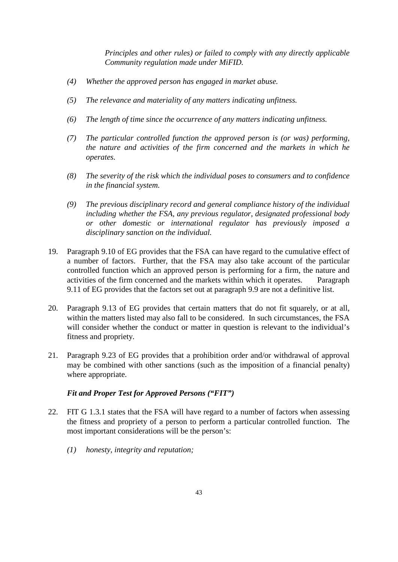*Principles and other rules) or failed to comply with any directly applicable Community regulation made under MiFID.* 

- *(4) Whether the approved person has engaged in market abuse.*
- *(5) The relevance and materiality of any matters indicating unfitness.*
- *(6) The length of time since the occurrence of any matters indicating unfitness.*
- *(7) The particular controlled function the approved person is (or was) performing, the nature and activities of the firm concerned and the markets in which he operates.*
- *(8) The severity of the risk which the individual poses to consumers and to confidence in the financial system.*
- *(9) The previous disciplinary record and general compliance history of the individual including whether the FSA, any previous regulator, designated professional body or other domestic or international regulator has previously imposed a disciplinary sanction on the individual.*
- 19. Paragraph 9.10 of EG provides that the FSA can have regard to the cumulative effect of a number of factors. Further, that the FSA may also take account of the particular controlled function which an approved person is performing for a firm, the nature and activities of the firm concerned and the markets within which it operates. Paragraph 9.11 of EG provides that the factors set out at paragraph 9.9 are not a definitive list.
- 20. Paragraph 9.13 of EG provides that certain matters that do not fit squarely, or at all, within the matters listed may also fall to be considered. In such circumstances, the FSA will consider whether the conduct or matter in question is relevant to the individual's fitness and propriety.
- 21. Paragraph 9.23 of EG provides that a prohibition order and/or withdrawal of approval may be combined with other sanctions (such as the imposition of a financial penalty) where appropriate.

## *Fit and Proper Test for Approved Persons ("FIT")*

- 22. FIT G 1.3.1 states that the FSA will have regard to a number of factors when assessing the fitness and propriety of a person to perform a particular controlled function. The most important considerations will be the person's:
	- *(1) honesty, integrity and reputation;*